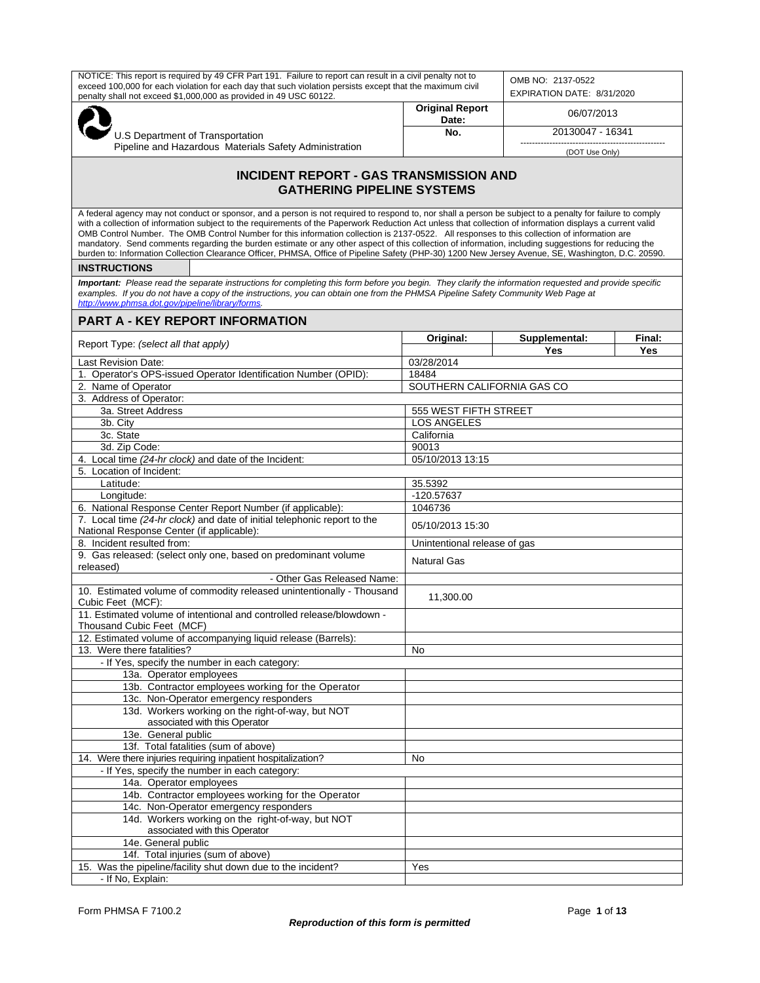| NOTICE: This report is required by 49 CFR Part 191. Failure to report can result in a civil penalty not to<br>exceed 100,000 for each violation for each day that such violation persists except that the maximum civil<br>penalty shall not exceed \$1,000,000 as provided in 49 USC 60122.                                                                                                                                                                                                                                                                                                                                                                                                                                                                                                                 |                                 | OMB NO: 2137-0522<br>EXPIRATION DATE: 8/31/2020 |               |
|--------------------------------------------------------------------------------------------------------------------------------------------------------------------------------------------------------------------------------------------------------------------------------------------------------------------------------------------------------------------------------------------------------------------------------------------------------------------------------------------------------------------------------------------------------------------------------------------------------------------------------------------------------------------------------------------------------------------------------------------------------------------------------------------------------------|---------------------------------|-------------------------------------------------|---------------|
|                                                                                                                                                                                                                                                                                                                                                                                                                                                                                                                                                                                                                                                                                                                                                                                                              | <b>Original Report</b><br>Date: | 06/07/2013                                      |               |
| U.S Department of Transportation                                                                                                                                                                                                                                                                                                                                                                                                                                                                                                                                                                                                                                                                                                                                                                             | No.                             | 20130047 - 16341                                |               |
| Pipeline and Hazardous Materials Safety Administration                                                                                                                                                                                                                                                                                                                                                                                                                                                                                                                                                                                                                                                                                                                                                       |                                 | (DOT Use Only)                                  |               |
| <b>INCIDENT REPORT - GAS TRANSMISSION AND</b><br><b>GATHERING PIPELINE SYSTEMS</b>                                                                                                                                                                                                                                                                                                                                                                                                                                                                                                                                                                                                                                                                                                                           |                                 |                                                 |               |
| A federal agency may not conduct or sponsor, and a person is not required to respond to, nor shall a person be subject to a penalty for failure to comply<br>with a collection of information subject to the requirements of the Paperwork Reduction Act unless that collection of information displays a current valid<br>OMB Control Number. The OMB Control Number for this information collection is 2137-0522. All responses to this collection of information are<br>mandatory. Send comments regarding the burden estimate or any other aspect of this collection of information, including suggestions for reducing the<br>burden to: Information Collection Clearance Officer, PHMSA, Office of Pipeline Safety (PHP-30) 1200 New Jersey Avenue, SE, Washington, D.C. 20590.<br><b>INSTRUCTIONS</b> |                                 |                                                 |               |
| Important: Please read the separate instructions for completing this form before you begin. They clarify the information requested and provide specific<br>examples. If you do not have a copy of the instructions, you can obtain one from the PHMSA Pipeline Safety Community Web Page at<br>http://www.phmsa.dot.gov/pipeline/library/forms.                                                                                                                                                                                                                                                                                                                                                                                                                                                              |                                 |                                                 |               |
| <b>PART A - KEY REPORT INFORMATION</b>                                                                                                                                                                                                                                                                                                                                                                                                                                                                                                                                                                                                                                                                                                                                                                       |                                 |                                                 |               |
| Report Type: (select all that apply)                                                                                                                                                                                                                                                                                                                                                                                                                                                                                                                                                                                                                                                                                                                                                                         | Original:                       | Supplemental:<br><b>Yes</b>                     | Final:<br>Yes |
| <b>Last Revision Date:</b>                                                                                                                                                                                                                                                                                                                                                                                                                                                                                                                                                                                                                                                                                                                                                                                   | 03/28/2014                      |                                                 |               |
| 1. Operator's OPS-issued Operator Identification Number (OPID):                                                                                                                                                                                                                                                                                                                                                                                                                                                                                                                                                                                                                                                                                                                                              | 18484                           |                                                 |               |
| 2. Name of Operator                                                                                                                                                                                                                                                                                                                                                                                                                                                                                                                                                                                                                                                                                                                                                                                          | SOUTHERN CALIFORNIA GAS CO      |                                                 |               |
| 3. Address of Operator:                                                                                                                                                                                                                                                                                                                                                                                                                                                                                                                                                                                                                                                                                                                                                                                      |                                 |                                                 |               |
| 3a. Street Address                                                                                                                                                                                                                                                                                                                                                                                                                                                                                                                                                                                                                                                                                                                                                                                           | 555 WEST FIFTH STREET           |                                                 |               |
| 3b. City                                                                                                                                                                                                                                                                                                                                                                                                                                                                                                                                                                                                                                                                                                                                                                                                     | <b>LOS ANGELES</b>              |                                                 |               |
| 3c. State                                                                                                                                                                                                                                                                                                                                                                                                                                                                                                                                                                                                                                                                                                                                                                                                    | California                      |                                                 |               |
| 3d. Zip Code:                                                                                                                                                                                                                                                                                                                                                                                                                                                                                                                                                                                                                                                                                                                                                                                                | 90013                           |                                                 |               |
| 4. Local time (24-hr clock) and date of the Incident:                                                                                                                                                                                                                                                                                                                                                                                                                                                                                                                                                                                                                                                                                                                                                        | 05/10/2013 13:15                |                                                 |               |
| 5. Location of Incident:                                                                                                                                                                                                                                                                                                                                                                                                                                                                                                                                                                                                                                                                                                                                                                                     |                                 |                                                 |               |
| Latitude:                                                                                                                                                                                                                                                                                                                                                                                                                                                                                                                                                                                                                                                                                                                                                                                                    | 35.5392                         |                                                 |               |
| Longitude:                                                                                                                                                                                                                                                                                                                                                                                                                                                                                                                                                                                                                                                                                                                                                                                                   | -120.57637                      |                                                 |               |
| 6. National Response Center Report Number (if applicable):                                                                                                                                                                                                                                                                                                                                                                                                                                                                                                                                                                                                                                                                                                                                                   | 1046736                         |                                                 |               |
| 7. Local time (24-hr clock) and date of initial telephonic report to the<br>National Response Center (if applicable):                                                                                                                                                                                                                                                                                                                                                                                                                                                                                                                                                                                                                                                                                        | 05/10/2013 15:30                |                                                 |               |
| 8. Incident resulted from:                                                                                                                                                                                                                                                                                                                                                                                                                                                                                                                                                                                                                                                                                                                                                                                   | Unintentional release of gas    |                                                 |               |
| 9. Gas released: (select only one, based on predominant volume<br>released)                                                                                                                                                                                                                                                                                                                                                                                                                                                                                                                                                                                                                                                                                                                                  | <b>Natural Gas</b>              |                                                 |               |
| - Other Gas Released Name:                                                                                                                                                                                                                                                                                                                                                                                                                                                                                                                                                                                                                                                                                                                                                                                   |                                 |                                                 |               |
| 10. Estimated volume of commodity released unintentionally - Thousand<br>Cubic Feet (MCF):                                                                                                                                                                                                                                                                                                                                                                                                                                                                                                                                                                                                                                                                                                                   | 11,300.00                       |                                                 |               |
| 11. Estimated volume of intentional and controlled release/blowdown -<br>Thousand Cubic Feet (MCF)                                                                                                                                                                                                                                                                                                                                                                                                                                                                                                                                                                                                                                                                                                           |                                 |                                                 |               |
| 12. Estimated volume of accompanying liquid release (Barrels):                                                                                                                                                                                                                                                                                                                                                                                                                                                                                                                                                                                                                                                                                                                                               |                                 |                                                 |               |
| 13. Were there fatalities?                                                                                                                                                                                                                                                                                                                                                                                                                                                                                                                                                                                                                                                                                                                                                                                   | No                              |                                                 |               |
| - If Yes, specify the number in each category:                                                                                                                                                                                                                                                                                                                                                                                                                                                                                                                                                                                                                                                                                                                                                               |                                 |                                                 |               |
| 13a. Operator employees                                                                                                                                                                                                                                                                                                                                                                                                                                                                                                                                                                                                                                                                                                                                                                                      |                                 |                                                 |               |
| 13b. Contractor employees working for the Operator                                                                                                                                                                                                                                                                                                                                                                                                                                                                                                                                                                                                                                                                                                                                                           |                                 |                                                 |               |
| 13c. Non-Operator emergency responders<br>13d. Workers working on the right-of-way, but NOT                                                                                                                                                                                                                                                                                                                                                                                                                                                                                                                                                                                                                                                                                                                  |                                 |                                                 |               |
| associated with this Operator                                                                                                                                                                                                                                                                                                                                                                                                                                                                                                                                                                                                                                                                                                                                                                                |                                 |                                                 |               |
| 13e. General public                                                                                                                                                                                                                                                                                                                                                                                                                                                                                                                                                                                                                                                                                                                                                                                          |                                 |                                                 |               |
| 13f. Total fatalities (sum of above)                                                                                                                                                                                                                                                                                                                                                                                                                                                                                                                                                                                                                                                                                                                                                                         |                                 |                                                 |               |
| 14. Were there injuries requiring inpatient hospitalization?                                                                                                                                                                                                                                                                                                                                                                                                                                                                                                                                                                                                                                                                                                                                                 | No                              |                                                 |               |
| - If Yes, specify the number in each category:                                                                                                                                                                                                                                                                                                                                                                                                                                                                                                                                                                                                                                                                                                                                                               |                                 |                                                 |               |
| 14a. Operator employees                                                                                                                                                                                                                                                                                                                                                                                                                                                                                                                                                                                                                                                                                                                                                                                      |                                 |                                                 |               |
| 14b. Contractor employees working for the Operator                                                                                                                                                                                                                                                                                                                                                                                                                                                                                                                                                                                                                                                                                                                                                           |                                 |                                                 |               |
| 14c. Non-Operator emergency responders                                                                                                                                                                                                                                                                                                                                                                                                                                                                                                                                                                                                                                                                                                                                                                       |                                 |                                                 |               |
| 14d. Workers working on the right-of-way, but NOT                                                                                                                                                                                                                                                                                                                                                                                                                                                                                                                                                                                                                                                                                                                                                            |                                 |                                                 |               |
| associated with this Operator                                                                                                                                                                                                                                                                                                                                                                                                                                                                                                                                                                                                                                                                                                                                                                                |                                 |                                                 |               |
| 14e. General public                                                                                                                                                                                                                                                                                                                                                                                                                                                                                                                                                                                                                                                                                                                                                                                          |                                 |                                                 |               |
| 14f. Total injuries (sum of above)                                                                                                                                                                                                                                                                                                                                                                                                                                                                                                                                                                                                                                                                                                                                                                           |                                 |                                                 |               |
| 15. Was the pipeline/facility shut down due to the incident?                                                                                                                                                                                                                                                                                                                                                                                                                                                                                                                                                                                                                                                                                                                                                 | Yes                             |                                                 |               |
| - If No, Explain:                                                                                                                                                                                                                                                                                                                                                                                                                                                                                                                                                                                                                                                                                                                                                                                            |                                 |                                                 |               |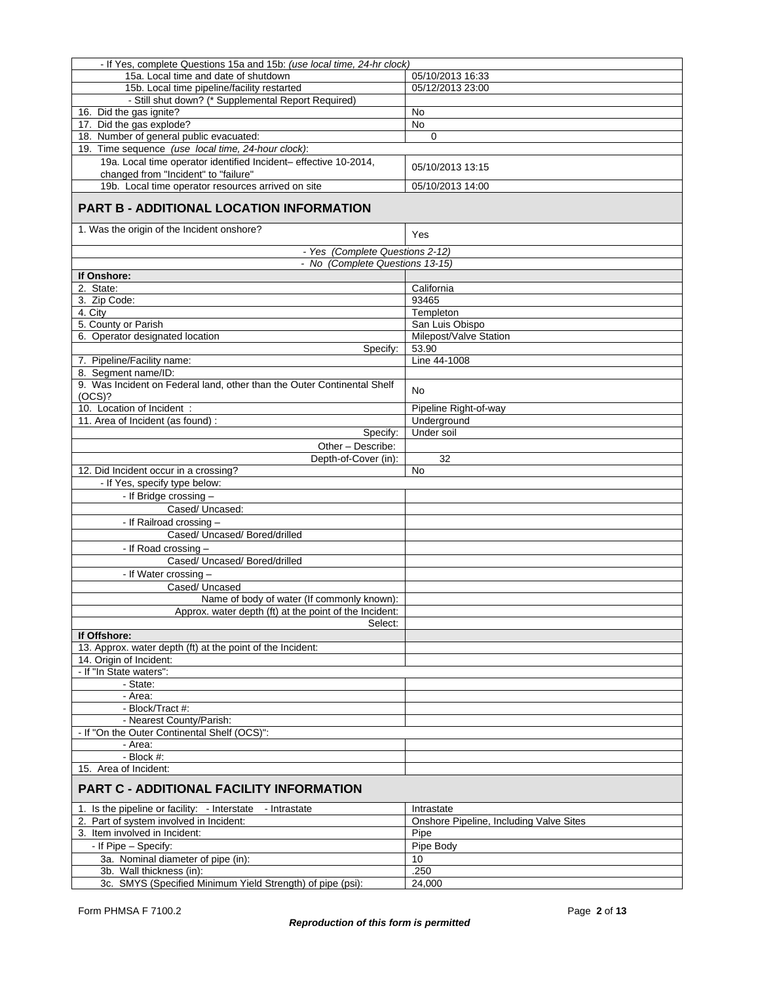| - If Yes, complete Questions 15a and 15b: (use local time, 24-hr clock)    |                                         |  |
|----------------------------------------------------------------------------|-----------------------------------------|--|
| 15a. Local time and date of shutdown                                       | 05/10/2013 16:33                        |  |
| 15b. Local time pipeline/facility restarted                                | 05/12/2013 23:00                        |  |
| - Still shut down? (* Supplemental Report Required)                        |                                         |  |
| 16. Did the gas ignite?                                                    | No                                      |  |
| 17. Did the gas explode?                                                   | <b>No</b>                               |  |
| 18. Number of general public evacuated:                                    | 0                                       |  |
| 19. Time sequence (use local time, 24-hour clock):                         |                                         |  |
| 19a. Local time operator identified Incident- effective 10-2014,           | 05/10/2013 13:15                        |  |
| changed from "Incident" to "failure"                                       |                                         |  |
| 19b. Local time operator resources arrived on site                         | 05/10/2013 14:00                        |  |
| <b>PART B - ADDITIONAL LOCATION INFORMATION</b>                            |                                         |  |
|                                                                            |                                         |  |
| 1. Was the origin of the Incident onshore?                                 | Yes                                     |  |
| - Yes (Complete Questions 2-12)                                            |                                         |  |
| - No (Complete Questions 13-15)                                            |                                         |  |
| If Onshore:                                                                |                                         |  |
| 2. State:                                                                  | California                              |  |
| 3. Zip Code:                                                               | 93465                                   |  |
| 4. City                                                                    | Templeton                               |  |
| 5. County or Parish                                                        | San Luis Obispo                         |  |
| 6. Operator designated location                                            | Milepost/Valve Station                  |  |
| Specify:                                                                   | 53.90                                   |  |
| 7. Pipeline/Facility name:                                                 | Line 44-1008                            |  |
| 8. Segment name/ID:                                                        |                                         |  |
| 9. Was Incident on Federal land, other than the Outer Continental Shelf    |                                         |  |
| (OCS)?                                                                     | No.                                     |  |
| 10. Location of Incident :                                                 | Pipeline Right-of-way                   |  |
| 11. Area of Incident (as found):                                           | Underground                             |  |
| Specify:                                                                   | Under soil                              |  |
| Other - Describe:                                                          |                                         |  |
| Depth-of-Cover (in):                                                       | 32                                      |  |
| 12. Did Incident occur in a crossing?                                      | No                                      |  |
| - If Yes, specify type below:                                              |                                         |  |
| - If Bridge crossing -                                                     |                                         |  |
| Cased/ Uncased:                                                            |                                         |  |
| - If Railroad crossing -                                                   |                                         |  |
| Cased/ Uncased/ Bored/drilled                                              |                                         |  |
| - If Road crossing -                                                       |                                         |  |
| Cased/ Uncased/ Bored/drilled                                              |                                         |  |
|                                                                            |                                         |  |
| - If Water crossing -                                                      |                                         |  |
| Cased/ Uncased                                                             |                                         |  |
| Name of body of water (If commonly known):                                 |                                         |  |
| Approx. water depth (ft) at the point of the Incident:                     |                                         |  |
| Select:                                                                    |                                         |  |
| If Offshore:<br>13. Approx. water depth (ft) at the point of the Incident: |                                         |  |
|                                                                            |                                         |  |
| 14. Origin of Incident:<br>- If "In State waters":                         |                                         |  |
| - State:                                                                   |                                         |  |
| - Area:                                                                    |                                         |  |
| - Block/Tract #:                                                           |                                         |  |
| - Nearest County/Parish:                                                   |                                         |  |
| - If "On the Outer Continental Shelf (OCS)":                               |                                         |  |
| - Area:                                                                    |                                         |  |
| $-$ Block $#$ :                                                            |                                         |  |
| 15. Area of Incident:                                                      |                                         |  |
| <b>PART C - ADDITIONAL FACILITY INFORMATION</b>                            |                                         |  |
| 1. Is the pipeline or facility: - Interstate - Intrastate                  | Intrastate                              |  |
| 2. Part of system involved in Incident:                                    | Onshore Pipeline, Including Valve Sites |  |
| 3. Item involved in Incident:                                              | Pipe                                    |  |
|                                                                            |                                         |  |
| - If Pipe - Specify:                                                       | Pipe Body                               |  |
| 3a. Nominal diameter of pipe (in):                                         | 10                                      |  |
| 3b. Wall thickness (in):                                                   | .250                                    |  |
| 3c. SMYS (Specified Minimum Yield Strength) of pipe (psi):                 | 24,000                                  |  |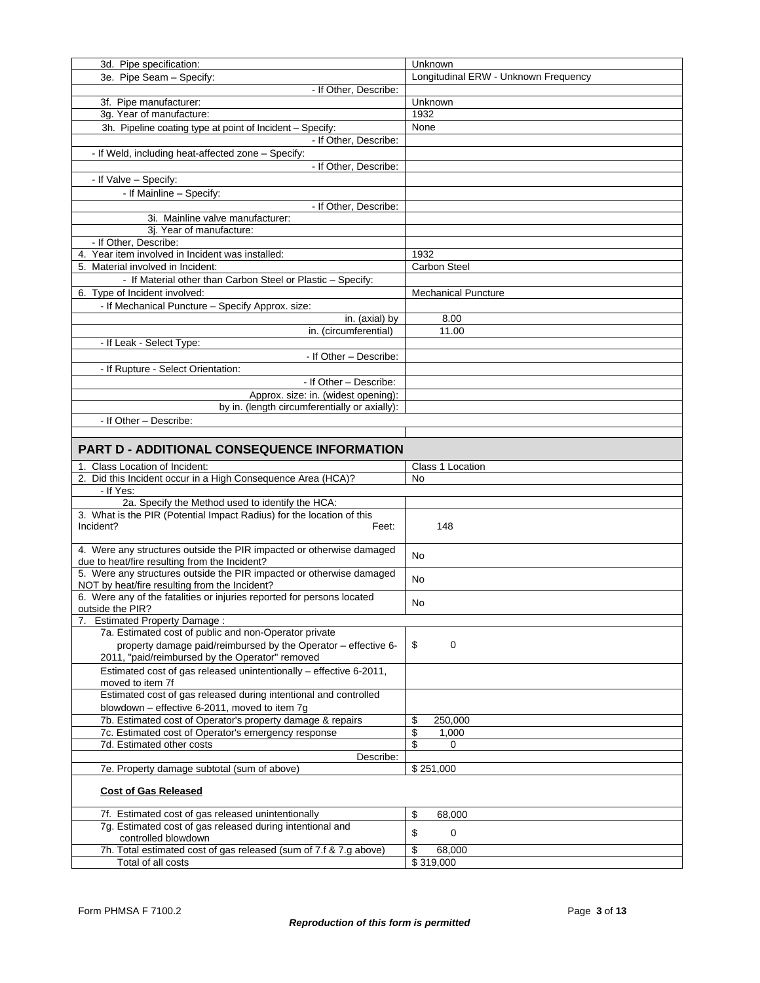| 3d. Pipe specification:                                                                                               | Unknown                              |
|-----------------------------------------------------------------------------------------------------------------------|--------------------------------------|
| 3e. Pipe Seam - Specify:                                                                                              | Longitudinal ERW - Unknown Frequency |
| - If Other, Describe:                                                                                                 |                                      |
| 3f. Pipe manufacturer:                                                                                                | Unknown                              |
| 3g. Year of manufacture:                                                                                              | 1932                                 |
| 3h. Pipeline coating type at point of Incident - Specify:                                                             | None                                 |
| - If Other, Describe:                                                                                                 |                                      |
| - If Weld, including heat-affected zone - Specify:                                                                    |                                      |
| - If Other, Describe:                                                                                                 |                                      |
| - If Valve - Specify:                                                                                                 |                                      |
| - If Mainline - Specify:                                                                                              |                                      |
| - If Other, Describe:                                                                                                 |                                      |
| 3i. Mainline valve manufacturer:                                                                                      |                                      |
| 3j. Year of manufacture:                                                                                              |                                      |
| - If Other, Describe:                                                                                                 |                                      |
| 4. Year item involved in Incident was installed:                                                                      | 1932                                 |
| 5. Material involved in Incident:                                                                                     | Carbon Steel                         |
| - If Material other than Carbon Steel or Plastic - Specify:                                                           |                                      |
| 6. Type of Incident involved:                                                                                         | <b>Mechanical Puncture</b>           |
| - If Mechanical Puncture - Specify Approx. size:                                                                      |                                      |
| in. (axial) by                                                                                                        | 8.00                                 |
| in. (circumferential)                                                                                                 | 11.00                                |
| - If Leak - Select Type:                                                                                              |                                      |
| - If Other - Describe:                                                                                                |                                      |
| - If Rupture - Select Orientation:                                                                                    |                                      |
| - If Other - Describe:                                                                                                |                                      |
| Approx. size: in. (widest opening):                                                                                   |                                      |
| by in. (length circumferentially or axially):                                                                         |                                      |
| - If Other - Describe:                                                                                                |                                      |
|                                                                                                                       |                                      |
|                                                                                                                       |                                      |
| <b>PART D - ADDITIONAL CONSEQUENCE INFORMATION</b>                                                                    |                                      |
| 1. Class Location of Incident:                                                                                        | Class 1 Location                     |
|                                                                                                                       |                                      |
| 2. Did this Incident occur in a High Consequence Area (HCA)?                                                          | No                                   |
| - If Yes:                                                                                                             |                                      |
| 2a. Specify the Method used to identify the HCA:                                                                      |                                      |
| 3. What is the PIR (Potential Impact Radius) for the location of this                                                 |                                      |
| Incident?<br>Feet:                                                                                                    | 148                                  |
|                                                                                                                       |                                      |
| 4. Were any structures outside the PIR impacted or otherwise damaged                                                  | <b>No</b>                            |
| due to heat/fire resulting from the Incident?                                                                         |                                      |
| 5. Were any structures outside the PIR impacted or otherwise damaged<br>NOT by heat/fire resulting from the Incident? | No                                   |
| 6. Were any of the fatalities or injuries reported for persons located                                                |                                      |
| outside the PIR?                                                                                                      | No                                   |
| <b>Estimated Property Damage:</b>                                                                                     |                                      |
| 7a. Estimated cost of public and non-Operator private                                                                 |                                      |
| property damage paid/reimbursed by the Operator - effective 6-                                                        | \$<br>0                              |
| 2011, "paid/reimbursed by the Operator" removed                                                                       |                                      |
| Estimated cost of gas released unintentionally - effective 6-2011,                                                    |                                      |
| moved to item 7f                                                                                                      |                                      |
| Estimated cost of gas released during intentional and controlled                                                      |                                      |
| blowdown - effective 6-2011, moved to item 7g                                                                         |                                      |
| 7b. Estimated cost of Operator's property damage & repairs                                                            | \$<br>250,000                        |
| 7c. Estimated cost of Operator's emergency response                                                                   | \$<br>1,000                          |
| 7d. Estimated other costs                                                                                             | \$<br>0                              |
| Describe:                                                                                                             |                                      |
| 7e. Property damage subtotal (sum of above)                                                                           | \$251,000                            |
| <b>Cost of Gas Released</b>                                                                                           |                                      |
|                                                                                                                       |                                      |
| 7f. Estimated cost of gas released unintentionally                                                                    | \$<br>68,000                         |
| 7g. Estimated cost of gas released during intentional and                                                             | \$<br>0                              |
| controlled blowdown<br>7h. Total estimated cost of gas released (sum of 7.f & 7.g above)                              | \$<br>68,000                         |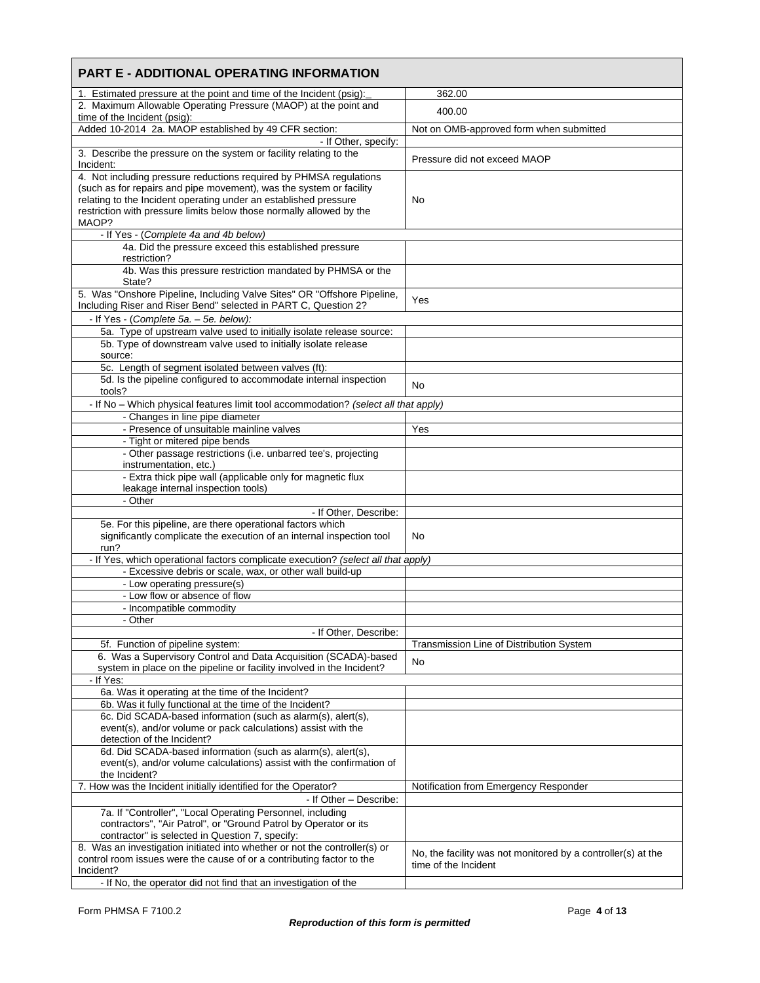| <b>PART E - ADDITIONAL OPERATING INFORMATION</b>                                                                                                                 |                                                                                      |
|------------------------------------------------------------------------------------------------------------------------------------------------------------------|--------------------------------------------------------------------------------------|
| 1. Estimated pressure at the point and time of the Incident (psig):                                                                                              | 362.00                                                                               |
| 2. Maximum Allowable Operating Pressure (MAOP) at the point and<br>time of the Incident (psig):                                                                  | 400.00                                                                               |
| Added 10-2014 2a. MAOP established by 49 CFR section:                                                                                                            | Not on OMB-approved form when submitted                                              |
| - If Other, specify:                                                                                                                                             |                                                                                      |
| 3. Describe the pressure on the system or facility relating to the<br>Incident:                                                                                  | Pressure did not exceed MAOP                                                         |
| 4. Not including pressure reductions required by PHMSA regulations                                                                                               |                                                                                      |
| (such as for repairs and pipe movement), was the system or facility<br>relating to the Incident operating under an established pressure                          | No                                                                                   |
| restriction with pressure limits below those normally allowed by the<br>MAOP?                                                                                    |                                                                                      |
| - If Yes - (Complete 4a and 4b below)                                                                                                                            |                                                                                      |
| 4a. Did the pressure exceed this established pressure<br>restriction?                                                                                            |                                                                                      |
| 4b. Was this pressure restriction mandated by PHMSA or the<br>State?                                                                                             |                                                                                      |
| 5. Was "Onshore Pipeline, Including Valve Sites" OR "Offshore Pipeline,<br>Including Riser and Riser Bend" selected in PART C, Question 2?                       | Yes                                                                                  |
| - If Yes - (Complete 5a. - 5e. below):                                                                                                                           |                                                                                      |
| 5a. Type of upstream valve used to initially isolate release source:                                                                                             |                                                                                      |
| 5b. Type of downstream valve used to initially isolate release                                                                                                   |                                                                                      |
| source:<br>5c. Length of segment isolated between valves (ft):                                                                                                   |                                                                                      |
| 5d. Is the pipeline configured to accommodate internal inspection                                                                                                |                                                                                      |
| tools?                                                                                                                                                           | No                                                                                   |
| - If No - Which physical features limit tool accommodation? (select all that apply)                                                                              |                                                                                      |
| - Changes in line pipe diameter                                                                                                                                  |                                                                                      |
| - Presence of unsuitable mainline valves                                                                                                                         | Yes                                                                                  |
| - Tight or mitered pipe bends<br>- Other passage restrictions (i.e. unbarred tee's, projecting                                                                   |                                                                                      |
| instrumentation, etc.)<br>- Extra thick pipe wall (applicable only for magnetic flux                                                                             |                                                                                      |
| leakage internal inspection tools)                                                                                                                               |                                                                                      |
| - Other                                                                                                                                                          |                                                                                      |
| - If Other, Describe:                                                                                                                                            |                                                                                      |
| 5e. For this pipeline, are there operational factors which<br>significantly complicate the execution of an internal inspection tool<br>run?                      | No                                                                                   |
| - If Yes, which operational factors complicate execution? (select all that apply)                                                                                |                                                                                      |
| - Excessive debris or scale, wax, or other wall build-up                                                                                                         |                                                                                      |
| - Low operating pressure(s)                                                                                                                                      |                                                                                      |
| - Low flow or absence of flow                                                                                                                                    |                                                                                      |
| - Incompatible commodity<br>- Other                                                                                                                              |                                                                                      |
| - If Other, Describe:                                                                                                                                            |                                                                                      |
| 5f. Function of pipeline system:                                                                                                                                 | Transmission Line of Distribution System                                             |
| 6. Was a Supervisory Control and Data Acquisition (SCADA)-based                                                                                                  | No                                                                                   |
| system in place on the pipeline or facility involved in the Incident?<br>- If Yes:                                                                               |                                                                                      |
| 6a. Was it operating at the time of the Incident?                                                                                                                |                                                                                      |
| 6b. Was it fully functional at the time of the Incident?                                                                                                         |                                                                                      |
| 6c. Did SCADA-based information (such as alarm(s), alert(s),                                                                                                     |                                                                                      |
| event(s), and/or volume or pack calculations) assist with the                                                                                                    |                                                                                      |
| detection of the Incident?<br>6d. Did SCADA-based information (such as alarm(s), alert(s),                                                                       |                                                                                      |
| event(s), and/or volume calculations) assist with the confirmation of<br>the Incident?                                                                           |                                                                                      |
| 7. How was the Incident initially identified for the Operator?                                                                                                   | Notification from Emergency Responder                                                |
| - If Other - Describe:                                                                                                                                           |                                                                                      |
| 7a. If "Controller", "Local Operating Personnel, including                                                                                                       |                                                                                      |
| contractors", "Air Patrol", or "Ground Patrol by Operator or its<br>contractor" is selected in Question 7, specify:                                              |                                                                                      |
| 8. Was an investigation initiated into whether or not the controller(s) or<br>control room issues were the cause of or a contributing factor to the<br>Incident? | No, the facility was not monitored by a controller(s) at the<br>time of the Incident |
| - If No, the operator did not find that an investigation of the                                                                                                  |                                                                                      |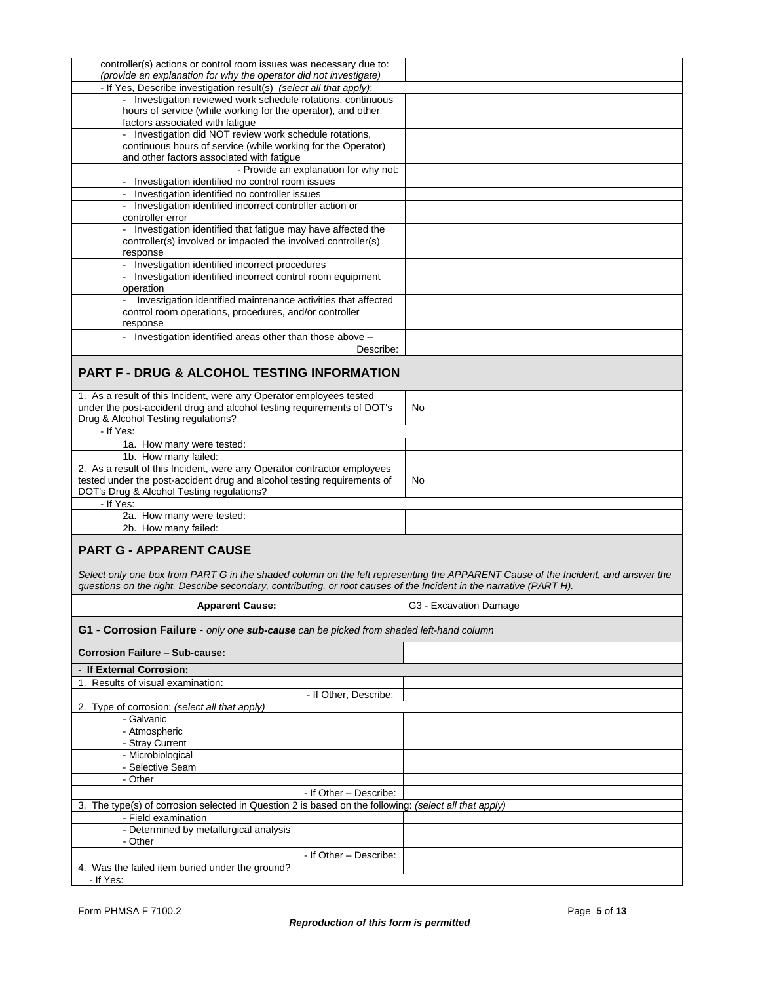| controller(s) actions or control room issues was necessary due to:                                                               |                        |
|----------------------------------------------------------------------------------------------------------------------------------|------------------------|
|                                                                                                                                  |                        |
| (provide an explanation for why the operator did not investigate)                                                                |                        |
| - If Yes, Describe investigation result(s) (select all that apply):                                                              |                        |
| - Investigation reviewed work schedule rotations, continuous                                                                     |                        |
| hours of service (while working for the operator), and other                                                                     |                        |
| factors associated with fatigue                                                                                                  |                        |
| - Investigation did NOT review work schedule rotations,                                                                          |                        |
|                                                                                                                                  |                        |
| continuous hours of service (while working for the Operator)                                                                     |                        |
| and other factors associated with fatigue                                                                                        |                        |
| - Provide an explanation for why not:                                                                                            |                        |
| - Investigation identified no control room issues                                                                                |                        |
|                                                                                                                                  |                        |
| - Investigation identified no controller issues                                                                                  |                        |
| - Investigation identified incorrect controller action or                                                                        |                        |
| controller error                                                                                                                 |                        |
| - Investigation identified that fatigue may have affected the                                                                    |                        |
| controller(s) involved or impacted the involved controller(s)                                                                    |                        |
|                                                                                                                                  |                        |
| response                                                                                                                         |                        |
| - Investigation identified incorrect procedures                                                                                  |                        |
| - Investigation identified incorrect control room equipment                                                                      |                        |
| operation                                                                                                                        |                        |
| Investigation identified maintenance activities that affected                                                                    |                        |
|                                                                                                                                  |                        |
| control room operations, procedures, and/or controller                                                                           |                        |
| response                                                                                                                         |                        |
| - Investigation identified areas other than those above -                                                                        |                        |
| Describe:                                                                                                                        |                        |
|                                                                                                                                  |                        |
|                                                                                                                                  |                        |
| <b>PART F - DRUG &amp; ALCOHOL TESTING INFORMATION</b>                                                                           |                        |
|                                                                                                                                  |                        |
| 1. As a result of this Incident, were any Operator employees tested                                                              |                        |
| under the post-accident drug and alcohol testing requirements of DOT's                                                           | No                     |
| Drug & Alcohol Testing regulations?                                                                                              |                        |
|                                                                                                                                  |                        |
| - If Yes:                                                                                                                        |                        |
| 1a. How many were tested:                                                                                                        |                        |
| 1b. How many failed:                                                                                                             |                        |
| 2. As a result of this Incident, were any Operator contractor employees                                                          |                        |
| tested under the post-accident drug and alcohol testing requirements of                                                          | No                     |
|                                                                                                                                  |                        |
|                                                                                                                                  |                        |
| DOT's Drug & Alcohol Testing regulations?                                                                                        |                        |
| - If Yes:                                                                                                                        |                        |
|                                                                                                                                  |                        |
| 2a. How many were tested:                                                                                                        |                        |
| 2b. How many failed:                                                                                                             |                        |
|                                                                                                                                  |                        |
| <b>PART G - APPARENT CAUSE</b>                                                                                                   |                        |
|                                                                                                                                  |                        |
| Select only one box from PART G in the shaded column on the left representing the APPARENT Cause of the Incident, and answer the |                        |
|                                                                                                                                  |                        |
| questions on the right. Describe secondary, contributing, or root causes of the Incident in the narrative (PART H).              |                        |
|                                                                                                                                  |                        |
| <b>Apparent Cause:</b>                                                                                                           | G3 - Excavation Damage |
|                                                                                                                                  |                        |
| G1 - Corrosion Failure - only one sub-cause can be picked from shaded left-hand column                                           |                        |
|                                                                                                                                  |                        |
| <b>Corrosion Failure - Sub-cause:</b>                                                                                            |                        |
|                                                                                                                                  |                        |
| - If External Corrosion:                                                                                                         |                        |
| 1. Results of visual examination:                                                                                                |                        |
| - If Other, Describe:                                                                                                            |                        |
|                                                                                                                                  |                        |
| 2. Type of corrosion: (select all that apply)                                                                                    |                        |
| - Galvanic                                                                                                                       |                        |
| - Atmospheric                                                                                                                    |                        |
| - Stray Current                                                                                                                  |                        |
|                                                                                                                                  |                        |
| - Microbiological                                                                                                                |                        |
| - Selective Seam                                                                                                                 |                        |
| - Other                                                                                                                          |                        |
| - If Other - Describe:                                                                                                           |                        |
|                                                                                                                                  |                        |
| 3. The type(s) of corrosion selected in Question 2 is based on the following: (select all that apply)                            |                        |
| - Field examination                                                                                                              |                        |
| - Determined by metallurgical analysis                                                                                           |                        |
| - Other                                                                                                                          |                        |
|                                                                                                                                  |                        |
| - If Other - Describe:                                                                                                           |                        |
| 4. Was the failed item buried under the ground?<br>- If Yes:                                                                     |                        |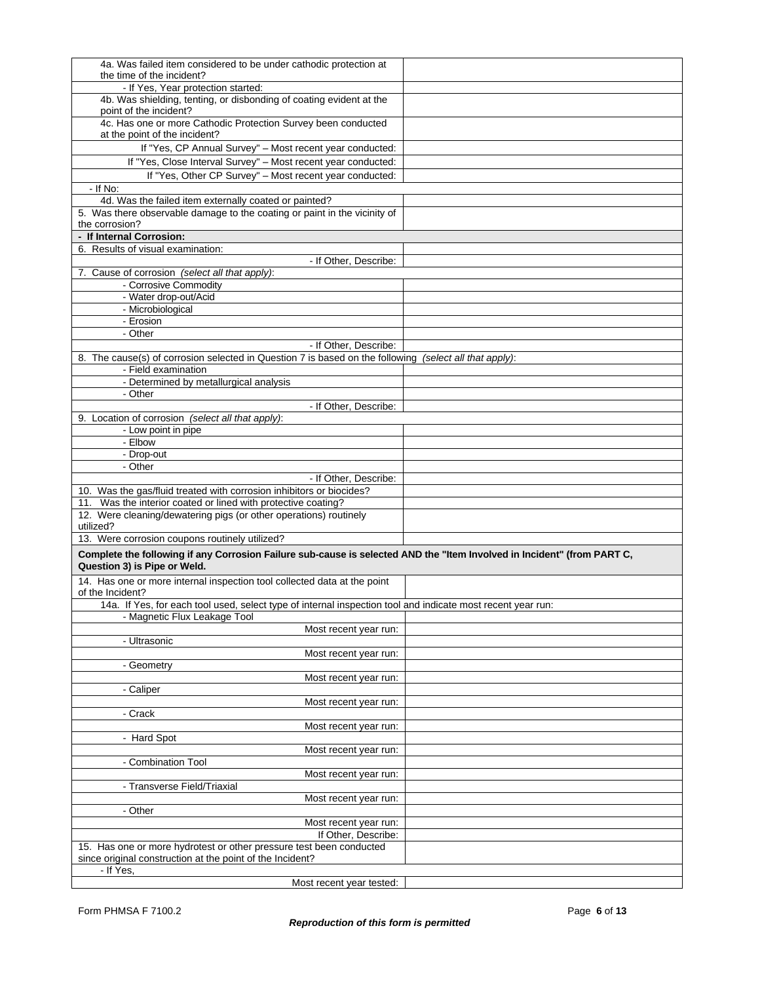| 4a. Was failed item considered to be under cathodic protection at                                                       |  |
|-------------------------------------------------------------------------------------------------------------------------|--|
|                                                                                                                         |  |
| the time of the incident?                                                                                               |  |
| - If Yes, Year protection started:                                                                                      |  |
| 4b. Was shielding, tenting, or disbonding of coating evident at the                                                     |  |
| point of the incident?                                                                                                  |  |
| 4c. Has one or more Cathodic Protection Survey been conducted                                                           |  |
|                                                                                                                         |  |
| at the point of the incident?                                                                                           |  |
| If "Yes, CP Annual Survey" - Most recent year conducted:                                                                |  |
| If "Yes, Close Interval Survey" - Most recent year conducted:                                                           |  |
|                                                                                                                         |  |
| If "Yes, Other CP Survey" - Most recent year conducted:                                                                 |  |
| - If No:                                                                                                                |  |
| 4d. Was the failed item externally coated or painted?                                                                   |  |
|                                                                                                                         |  |
| 5. Was there observable damage to the coating or paint in the vicinity of                                               |  |
| the corrosion?                                                                                                          |  |
| - If Internal Corrosion:                                                                                                |  |
| 6. Results of visual examination:                                                                                       |  |
| - If Other, Describe:                                                                                                   |  |
|                                                                                                                         |  |
| 7. Cause of corrosion (select all that apply):                                                                          |  |
| - Corrosive Commodity                                                                                                   |  |
| - Water drop-out/Acid                                                                                                   |  |
| - Microbiological                                                                                                       |  |
|                                                                                                                         |  |
| - Erosion                                                                                                               |  |
| - Other                                                                                                                 |  |
| - If Other, Describe:                                                                                                   |  |
| 8. The cause(s) of corrosion selected in Question 7 is based on the following (select all that apply):                  |  |
|                                                                                                                         |  |
| - Field examination                                                                                                     |  |
| - Determined by metallurgical analysis                                                                                  |  |
| - Other                                                                                                                 |  |
| - If Other, Describe:                                                                                                   |  |
|                                                                                                                         |  |
| 9. Location of corrosion (select all that apply):                                                                       |  |
| - Low point in pipe                                                                                                     |  |
| - Elbow                                                                                                                 |  |
| - Drop-out                                                                                                              |  |
|                                                                                                                         |  |
|                                                                                                                         |  |
| - Other                                                                                                                 |  |
| - If Other, Describe:                                                                                                   |  |
|                                                                                                                         |  |
| 10. Was the gas/fluid treated with corrosion inhibitors or biocides?                                                    |  |
| 11. Was the interior coated or lined with protective coating?                                                           |  |
| 12. Were cleaning/dewatering pigs (or other operations) routinely                                                       |  |
| utilized?                                                                                                               |  |
| 13. Were corrosion coupons routinely utilized?                                                                          |  |
|                                                                                                                         |  |
| Complete the following if any Corrosion Failure sub-cause is selected AND the "Item Involved in Incident" (from PART C, |  |
| Question 3) is Pipe or Weld.                                                                                            |  |
|                                                                                                                         |  |
| 14. Has one or more internal inspection tool collected data at the point                                                |  |
| of the Incident?                                                                                                        |  |
| 14a. If Yes, for each tool used, select type of internal inspection tool and indicate most recent year run:             |  |
| - Magnetic Flux Leakage Tool                                                                                            |  |
|                                                                                                                         |  |
| Most recent year run:                                                                                                   |  |
| - Ultrasonic                                                                                                            |  |
| Most recent year run:                                                                                                   |  |
| - Geometry                                                                                                              |  |
| Most recent year run:                                                                                                   |  |
|                                                                                                                         |  |
| - Caliper                                                                                                               |  |
| Most recent year run:                                                                                                   |  |
| - Crack                                                                                                                 |  |
| Most recent year run:                                                                                                   |  |
|                                                                                                                         |  |
| - Hard Spot                                                                                                             |  |
| Most recent year run:                                                                                                   |  |
| - Combination Tool                                                                                                      |  |
| Most recent year run:                                                                                                   |  |
|                                                                                                                         |  |
| - Transverse Field/Triaxial                                                                                             |  |
| Most recent year run:                                                                                                   |  |
| - Other                                                                                                                 |  |
| Most recent year run:                                                                                                   |  |
|                                                                                                                         |  |
| If Other, Describe:                                                                                                     |  |
| 15. Has one or more hydrotest or other pressure test been conducted                                                     |  |
| since original construction at the point of the Incident?                                                               |  |
| - If Yes,<br>Most recent year tested:                                                                                   |  |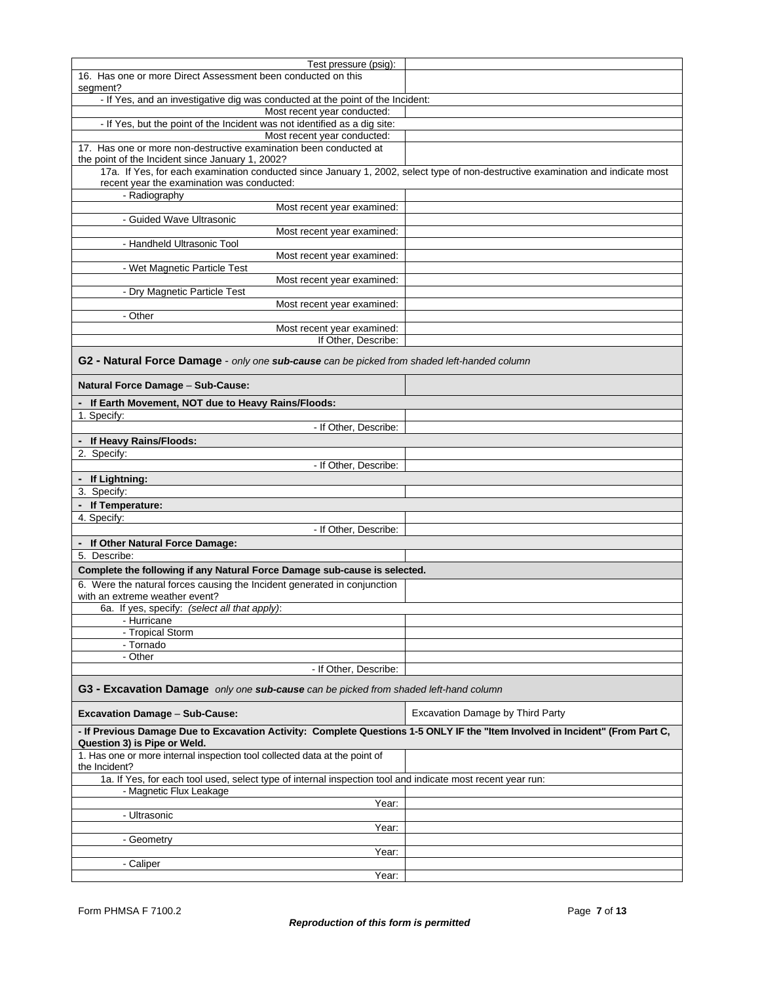| Test pressure (psig):                                                                                                                                                         |                                  |  |
|-------------------------------------------------------------------------------------------------------------------------------------------------------------------------------|----------------------------------|--|
| 16. Has one or more Direct Assessment been conducted on this<br>segment?                                                                                                      |                                  |  |
| - If Yes, and an investigative dig was conducted at the point of the Incident:                                                                                                |                                  |  |
| Most recent year conducted:                                                                                                                                                   |                                  |  |
| - If Yes, but the point of the Incident was not identified as a dig site:                                                                                                     |                                  |  |
| Most recent year conducted:                                                                                                                                                   |                                  |  |
| 17. Has one or more non-destructive examination been conducted at                                                                                                             |                                  |  |
| the point of the Incident since January 1, 2002?                                                                                                                              |                                  |  |
| 17a. If Yes, for each examination conducted since January 1, 2002, select type of non-destructive examination and indicate most<br>recent year the examination was conducted: |                                  |  |
| - Radiography                                                                                                                                                                 |                                  |  |
| Most recent year examined:                                                                                                                                                    |                                  |  |
| - Guided Wave Ultrasonic                                                                                                                                                      |                                  |  |
| Most recent year examined:                                                                                                                                                    |                                  |  |
| - Handheld Ultrasonic Tool                                                                                                                                                    |                                  |  |
| Most recent year examined:                                                                                                                                                    |                                  |  |
| - Wet Magnetic Particle Test                                                                                                                                                  |                                  |  |
| Most recent year examined:                                                                                                                                                    |                                  |  |
| - Dry Magnetic Particle Test                                                                                                                                                  |                                  |  |
| Most recent year examined:<br>- Other                                                                                                                                         |                                  |  |
| Most recent year examined:                                                                                                                                                    |                                  |  |
| If Other, Describe:                                                                                                                                                           |                                  |  |
|                                                                                                                                                                               |                                  |  |
| G2 - Natural Force Damage - only one sub-cause can be picked from shaded left-handed column                                                                                   |                                  |  |
| Natural Force Damage - Sub-Cause:                                                                                                                                             |                                  |  |
| - If Earth Movement, NOT due to Heavy Rains/Floods:                                                                                                                           |                                  |  |
| 1. Specify:                                                                                                                                                                   |                                  |  |
| - If Other, Describe:                                                                                                                                                         |                                  |  |
| - If Heavy Rains/Floods:                                                                                                                                                      |                                  |  |
| 2. Specify:                                                                                                                                                                   |                                  |  |
| - If Other, Describe:                                                                                                                                                         |                                  |  |
| - If Lightning:                                                                                                                                                               |                                  |  |
| 3. Specify:                                                                                                                                                                   |                                  |  |
| - If Temperature:                                                                                                                                                             |                                  |  |
| 4. Specify:                                                                                                                                                                   |                                  |  |
| - If Other, Describe:                                                                                                                                                         |                                  |  |
| - If Other Natural Force Damage:                                                                                                                                              |                                  |  |
| 5. Describe:                                                                                                                                                                  |                                  |  |
|                                                                                                                                                                               |                                  |  |
| Complete the following if any Natural Force Damage sub-cause is selected.                                                                                                     |                                  |  |
| 6. Were the natural forces causing the Incident generated in conjunction<br>with an extreme weather event?                                                                    |                                  |  |
| 6a. If yes, specify: (select all that apply):                                                                                                                                 |                                  |  |
| - Hurricane                                                                                                                                                                   |                                  |  |
| - Tropical Storm                                                                                                                                                              |                                  |  |
| - Tornado                                                                                                                                                                     |                                  |  |
| - Other                                                                                                                                                                       |                                  |  |
| - If Other, Describe:                                                                                                                                                         |                                  |  |
| G3 - Excavation Damage only one sub-cause can be picked from shaded left-hand column                                                                                          |                                  |  |
| <b>Excavation Damage - Sub-Cause:</b>                                                                                                                                         | Excavation Damage by Third Party |  |
| - If Previous Damage Due to Excavation Activity: Complete Questions 1-5 ONLY IF the "Item Involved in Incident" (From Part C,                                                 |                                  |  |
| Question 3) is Pipe or Weld.                                                                                                                                                  |                                  |  |
| 1. Has one or more internal inspection tool collected data at the point of<br>the Incident?                                                                                   |                                  |  |
|                                                                                                                                                                               |                                  |  |
|                                                                                                                                                                               |                                  |  |
| 1a. If Yes, for each tool used, select type of internal inspection tool and indicate most recent year run:                                                                    |                                  |  |
| - Magnetic Flux Leakage                                                                                                                                                       |                                  |  |
| Year:<br>- Ultrasonic                                                                                                                                                         |                                  |  |
| Year:                                                                                                                                                                         |                                  |  |
|                                                                                                                                                                               |                                  |  |
| - Geometry<br>Year:                                                                                                                                                           |                                  |  |
| - Caliper                                                                                                                                                                     |                                  |  |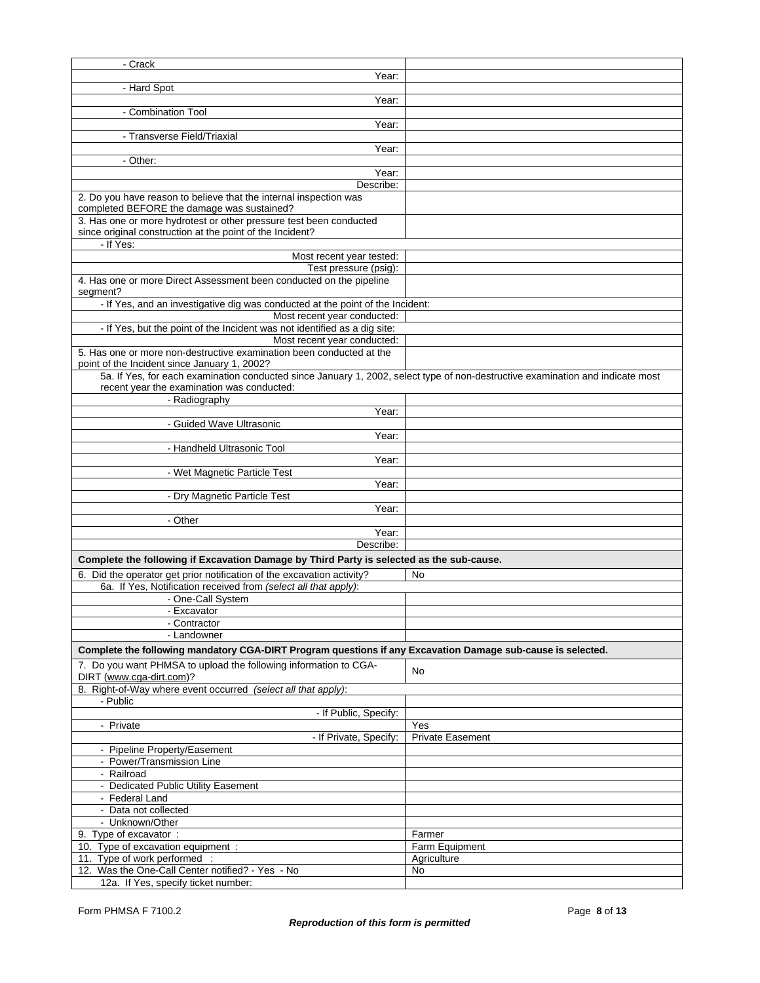| - Crack                                                                                                                        |                         |  |  |
|--------------------------------------------------------------------------------------------------------------------------------|-------------------------|--|--|
| Year:                                                                                                                          |                         |  |  |
| - Hard Spot                                                                                                                    |                         |  |  |
| Year:                                                                                                                          |                         |  |  |
| - Combination Tool                                                                                                             |                         |  |  |
| Year:                                                                                                                          |                         |  |  |
| - Transverse Field/Triaxial                                                                                                    |                         |  |  |
| Year:                                                                                                                          |                         |  |  |
| - Other:<br>Year:                                                                                                              |                         |  |  |
| Describe:                                                                                                                      |                         |  |  |
| 2. Do you have reason to believe that the internal inspection was                                                              |                         |  |  |
| completed BEFORE the damage was sustained?                                                                                     |                         |  |  |
| 3. Has one or more hydrotest or other pressure test been conducted                                                             |                         |  |  |
| since original construction at the point of the Incident?                                                                      |                         |  |  |
| - If Yes:                                                                                                                      |                         |  |  |
| Most recent year tested:                                                                                                       |                         |  |  |
| Test pressure (psig):                                                                                                          |                         |  |  |
| 4. Has one or more Direct Assessment been conducted on the pipeline<br>segment?                                                |                         |  |  |
| - If Yes, and an investigative dig was conducted at the point of the Incident:                                                 |                         |  |  |
| Most recent year conducted:                                                                                                    |                         |  |  |
| - If Yes, but the point of the Incident was not identified as a dig site:                                                      |                         |  |  |
| Most recent year conducted:                                                                                                    |                         |  |  |
| 5. Has one or more non-destructive examination been conducted at the                                                           |                         |  |  |
| point of the Incident since January 1, 2002?                                                                                   |                         |  |  |
| 5a. If Yes, for each examination conducted since January 1, 2002, select type of non-destructive examination and indicate most |                         |  |  |
| recent year the examination was conducted:                                                                                     |                         |  |  |
| - Radiography<br>Year:                                                                                                         |                         |  |  |
| - Guided Wave Ultrasonic                                                                                                       |                         |  |  |
| Year:                                                                                                                          |                         |  |  |
| - Handheld Ultrasonic Tool                                                                                                     |                         |  |  |
| Year:                                                                                                                          |                         |  |  |
| - Wet Magnetic Particle Test                                                                                                   |                         |  |  |
| Year:                                                                                                                          |                         |  |  |
| - Dry Magnetic Particle Test                                                                                                   |                         |  |  |
| Year:                                                                                                                          |                         |  |  |
| - Other                                                                                                                        |                         |  |  |
| Year:<br>Describe:                                                                                                             |                         |  |  |
|                                                                                                                                |                         |  |  |
| Complete the following if Excavation Damage by Third Party is selected as the sub-cause.                                       |                         |  |  |
| 6. Did the operator get prior notification of the excavation activity?                                                         | No                      |  |  |
| 6a. If Yes, Notification received from (select all that apply):<br>- One-Call System                                           |                         |  |  |
| - Excavator                                                                                                                    |                         |  |  |
| - Contractor                                                                                                                   |                         |  |  |
| - Landowner                                                                                                                    |                         |  |  |
| Complete the following mandatory CGA-DIRT Program questions if any Excavation Damage sub-cause is selected.                    |                         |  |  |
| 7. Do you want PHMSA to upload the following information to CGA-                                                               |                         |  |  |
| DIRT (www.cga-dirt.com)?                                                                                                       | No                      |  |  |
| 8. Right-of-Way where event occurred (select all that apply):                                                                  |                         |  |  |
| - Public                                                                                                                       |                         |  |  |
| - If Public, Specify:                                                                                                          |                         |  |  |
| - Private                                                                                                                      | Yes                     |  |  |
| - If Private, Specify:                                                                                                         | <b>Private Easement</b> |  |  |
| - Pipeline Property/Easement                                                                                                   |                         |  |  |
| - Power/Transmission Line<br>- Railroad                                                                                        |                         |  |  |
| - Dedicated Public Utility Easement                                                                                            |                         |  |  |
| - Federal Land                                                                                                                 |                         |  |  |
| - Data not collected                                                                                                           |                         |  |  |
| - Unknown/Other                                                                                                                |                         |  |  |
| 9. Type of excavator :                                                                                                         | Farmer                  |  |  |
| 10. Type of excavation equipment :                                                                                             | Farm Equipment          |  |  |
| 11. Type of work performed :                                                                                                   | Agriculture             |  |  |
| 12. Was the One-Call Center notified? - Yes - No                                                                               | No                      |  |  |
| 12a. If Yes, specify ticket number:                                                                                            |                         |  |  |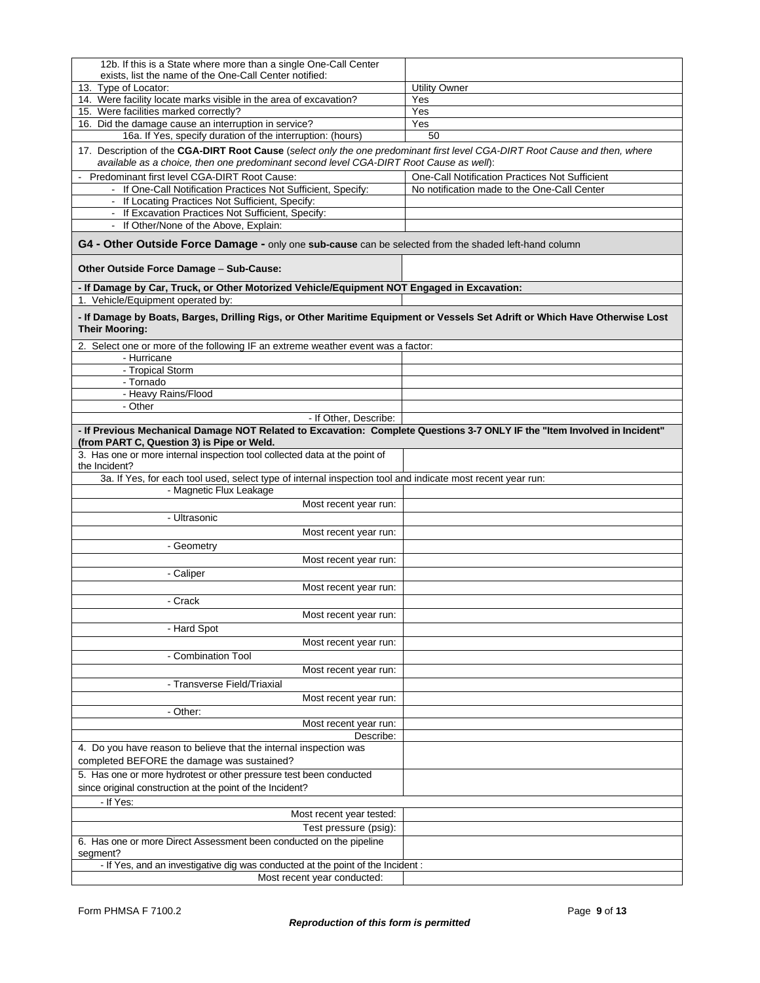| 12b. If this is a State where more than a single One-Call Center                                                                                                                                                      |                                                |
|-----------------------------------------------------------------------------------------------------------------------------------------------------------------------------------------------------------------------|------------------------------------------------|
| exists, list the name of the One-Call Center notified:<br>13. Type of Locator:                                                                                                                                        | <b>Utility Owner</b>                           |
| 14. Were facility locate marks visible in the area of excavation?                                                                                                                                                     | Yes                                            |
| 15. Were facilities marked correctly?                                                                                                                                                                                 | Yes                                            |
| 16. Did the damage cause an interruption in service?                                                                                                                                                                  | Yes                                            |
| 16a. If Yes, specify duration of the interruption: (hours)                                                                                                                                                            | 50                                             |
| 17. Description of the CGA-DIRT Root Cause (select only the one predominant first level CGA-DIRT Root Cause and then, where<br>available as a choice, then one predominant second level CGA-DIRT Root Cause as well): |                                                |
| Predominant first level CGA-DIRT Root Cause:                                                                                                                                                                          | One-Call Notification Practices Not Sufficient |
| - If One-Call Notification Practices Not Sufficient, Specify:                                                                                                                                                         | No notification made to the One-Call Center    |
| - If Locating Practices Not Sufficient, Specify:                                                                                                                                                                      |                                                |
| - If Excavation Practices Not Sufficient, Specify:<br>- If Other/None of the Above, Explain:                                                                                                                          |                                                |
| G4 - Other Outside Force Damage - only one sub-cause can be selected from the shaded left-hand column                                                                                                                 |                                                |
| Other Outside Force Damage - Sub-Cause:                                                                                                                                                                               |                                                |
| - If Damage by Car, Truck, or Other Motorized Vehicle/Equipment NOT Engaged in Excavation:                                                                                                                            |                                                |
| 1. Vehicle/Equipment operated by:                                                                                                                                                                                     |                                                |
| - If Damage by Boats, Barges, Drilling Rigs, or Other Maritime Equipment or Vessels Set Adrift or Which Have Otherwise Lost<br><b>Their Mooring:</b>                                                                  |                                                |
| 2. Select one or more of the following IF an extreme weather event was a factor:                                                                                                                                      |                                                |
| - Hurricane<br>- Tropical Storm                                                                                                                                                                                       |                                                |
| - Tornado                                                                                                                                                                                                             |                                                |
| - Heavy Rains/Flood                                                                                                                                                                                                   |                                                |
| - Other                                                                                                                                                                                                               |                                                |
| - If Other, Describe:                                                                                                                                                                                                 |                                                |
| - If Previous Mechanical Damage NOT Related to Excavation: Complete Questions 3-7 ONLY IF the "Item Involved in Incident"<br>(from PART C, Question 3) is Pipe or Weld.                                               |                                                |
| 3. Has one or more internal inspection tool collected data at the point of                                                                                                                                            |                                                |
| the Incident?                                                                                                                                                                                                         |                                                |
| 3a. If Yes, for each tool used, select type of internal inspection tool and indicate most recent year run:                                                                                                            |                                                |
| - Magnetic Flux Leakage                                                                                                                                                                                               |                                                |
| Most recent year run:<br>- Ultrasonic                                                                                                                                                                                 |                                                |
| Most recent year run:                                                                                                                                                                                                 |                                                |
| - Geometry                                                                                                                                                                                                            |                                                |
| Most recent year run:                                                                                                                                                                                                 |                                                |
| - Caliper                                                                                                                                                                                                             |                                                |
| Most recent year run:                                                                                                                                                                                                 |                                                |
| - Crack                                                                                                                                                                                                               |                                                |
| Most recent year run:                                                                                                                                                                                                 |                                                |
| - Hard Spot                                                                                                                                                                                                           |                                                |
| Most recent year run:                                                                                                                                                                                                 |                                                |
| - Combination Tool                                                                                                                                                                                                    |                                                |
| Most recent year run:                                                                                                                                                                                                 |                                                |
| - Transverse Field/Triaxial                                                                                                                                                                                           |                                                |
| Most recent year run:                                                                                                                                                                                                 |                                                |
| - Other:                                                                                                                                                                                                              |                                                |
| Most recent year run:                                                                                                                                                                                                 |                                                |
| Describe:                                                                                                                                                                                                             |                                                |
| 4. Do you have reason to believe that the internal inspection was                                                                                                                                                     |                                                |
| completed BEFORE the damage was sustained?                                                                                                                                                                            |                                                |
| 5. Has one or more hydrotest or other pressure test been conducted<br>since original construction at the point of the Incident?                                                                                       |                                                |
| - If Yes:                                                                                                                                                                                                             |                                                |
| Most recent year tested:                                                                                                                                                                                              |                                                |
| Test pressure (psig):                                                                                                                                                                                                 |                                                |
| 6. Has one or more Direct Assessment been conducted on the pipeline                                                                                                                                                   |                                                |
| segment?                                                                                                                                                                                                              |                                                |
| - If Yes, and an investigative dig was conducted at the point of the Incident :                                                                                                                                       |                                                |
| Most recent year conducted:                                                                                                                                                                                           |                                                |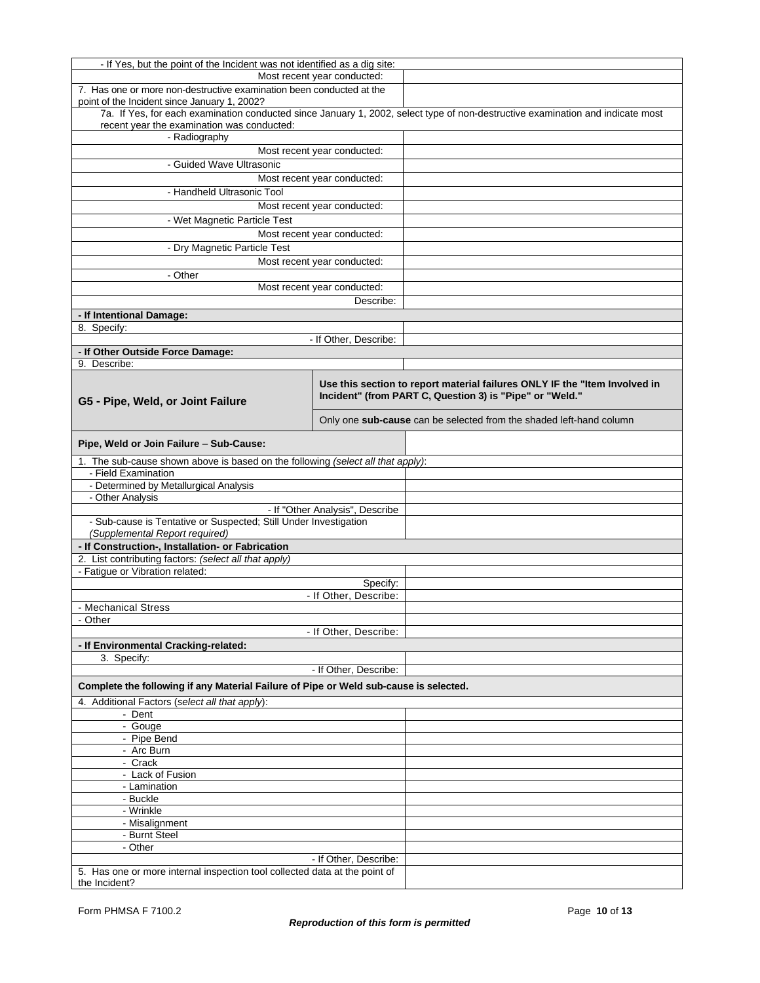| Most recent year conducted:<br>7. Has one or more non-destructive examination been conducted at the<br>point of the Incident since January 1, 2002?<br>7a. If Yes, for each examination conducted since January 1, 2002, select type of non-destructive examination and indicate most<br>recent year the examination was conducted:<br>- Radiography<br>Most recent year conducted:<br>- Guided Wave Ultrasonic<br>Most recent year conducted:<br>- Handheld Ultrasonic Tool<br>Most recent year conducted:<br>- Wet Magnetic Particle Test<br>Most recent year conducted:<br>- Dry Magnetic Particle Test<br>Most recent year conducted:<br>- Other<br>Most recent year conducted:<br>Describe:<br>- If Intentional Damage:<br>8. Specify:<br>- If Other, Describe:<br>- If Other Outside Force Damage:<br>9. Describe:<br>Use this section to report material failures ONLY IF the "Item Involved in<br>Incident" (from PART C, Question 3) is "Pipe" or "Weld."<br>G5 - Pipe, Weld, or Joint Failure<br>Only one sub-cause can be selected from the shaded left-hand column<br>Pipe, Weld or Join Failure - Sub-Cause:<br>1. The sub-cause shown above is based on the following (select all that apply):<br>- Field Examination<br>- Determined by Metallurgical Analysis<br>- Other Analysis<br>- If "Other Analysis", Describe<br>- Sub-cause is Tentative or Suspected; Still Under Investigation<br>(Supplemental Report required)<br>- If Construction-, Installation- or Fabrication<br>2. List contributing factors: (select all that apply)<br>- Fatigue or Vibration related:<br>Specify:<br>- If Other, Describe:<br>- Mechanical Stress<br>- Other<br>- If Other, Describe:<br>- If Environmental Cracking-related:<br>3. Specify:<br>- If Other, Describe:<br>Complete the following if any Material Failure of Pipe or Weld sub-cause is selected.<br>4. Additional Factors (select all that apply):<br>- Dent<br>- Gouge<br>- Pipe Bend<br>- Arc Burn<br>- Crack<br>- Lack of Fusion<br>- Lamination<br>- Buckle<br>- Wrinkle<br>- Misalignment<br>- Burnt Steel<br>- Other<br>- If Other, Describe:<br>5. Has one or more internal inspection tool collected data at the point of | - If Yes, but the point of the Incident was not identified as a dig site: |  |  |
|------------------------------------------------------------------------------------------------------------------------------------------------------------------------------------------------------------------------------------------------------------------------------------------------------------------------------------------------------------------------------------------------------------------------------------------------------------------------------------------------------------------------------------------------------------------------------------------------------------------------------------------------------------------------------------------------------------------------------------------------------------------------------------------------------------------------------------------------------------------------------------------------------------------------------------------------------------------------------------------------------------------------------------------------------------------------------------------------------------------------------------------------------------------------------------------------------------------------------------------------------------------------------------------------------------------------------------------------------------------------------------------------------------------------------------------------------------------------------------------------------------------------------------------------------------------------------------------------------------------------------------------------------------------------------------------------------------------------------------------------------------------------------------------------------------------------------------------------------------------------------------------------------------------------------------------------------------------------------------------------------------------------------------------------------------------------------------------------------------------------------------------------------------------------------------------------------|---------------------------------------------------------------------------|--|--|
|                                                                                                                                                                                                                                                                                                                                                                                                                                                                                                                                                                                                                                                                                                                                                                                                                                                                                                                                                                                                                                                                                                                                                                                                                                                                                                                                                                                                                                                                                                                                                                                                                                                                                                                                                                                                                                                                                                                                                                                                                                                                                                                                                                                                      |                                                                           |  |  |
|                                                                                                                                                                                                                                                                                                                                                                                                                                                                                                                                                                                                                                                                                                                                                                                                                                                                                                                                                                                                                                                                                                                                                                                                                                                                                                                                                                                                                                                                                                                                                                                                                                                                                                                                                                                                                                                                                                                                                                                                                                                                                                                                                                                                      |                                                                           |  |  |
|                                                                                                                                                                                                                                                                                                                                                                                                                                                                                                                                                                                                                                                                                                                                                                                                                                                                                                                                                                                                                                                                                                                                                                                                                                                                                                                                                                                                                                                                                                                                                                                                                                                                                                                                                                                                                                                                                                                                                                                                                                                                                                                                                                                                      |                                                                           |  |  |
|                                                                                                                                                                                                                                                                                                                                                                                                                                                                                                                                                                                                                                                                                                                                                                                                                                                                                                                                                                                                                                                                                                                                                                                                                                                                                                                                                                                                                                                                                                                                                                                                                                                                                                                                                                                                                                                                                                                                                                                                                                                                                                                                                                                                      |                                                                           |  |  |
|                                                                                                                                                                                                                                                                                                                                                                                                                                                                                                                                                                                                                                                                                                                                                                                                                                                                                                                                                                                                                                                                                                                                                                                                                                                                                                                                                                                                                                                                                                                                                                                                                                                                                                                                                                                                                                                                                                                                                                                                                                                                                                                                                                                                      |                                                                           |  |  |
|                                                                                                                                                                                                                                                                                                                                                                                                                                                                                                                                                                                                                                                                                                                                                                                                                                                                                                                                                                                                                                                                                                                                                                                                                                                                                                                                                                                                                                                                                                                                                                                                                                                                                                                                                                                                                                                                                                                                                                                                                                                                                                                                                                                                      |                                                                           |  |  |
|                                                                                                                                                                                                                                                                                                                                                                                                                                                                                                                                                                                                                                                                                                                                                                                                                                                                                                                                                                                                                                                                                                                                                                                                                                                                                                                                                                                                                                                                                                                                                                                                                                                                                                                                                                                                                                                                                                                                                                                                                                                                                                                                                                                                      |                                                                           |  |  |
|                                                                                                                                                                                                                                                                                                                                                                                                                                                                                                                                                                                                                                                                                                                                                                                                                                                                                                                                                                                                                                                                                                                                                                                                                                                                                                                                                                                                                                                                                                                                                                                                                                                                                                                                                                                                                                                                                                                                                                                                                                                                                                                                                                                                      |                                                                           |  |  |
|                                                                                                                                                                                                                                                                                                                                                                                                                                                                                                                                                                                                                                                                                                                                                                                                                                                                                                                                                                                                                                                                                                                                                                                                                                                                                                                                                                                                                                                                                                                                                                                                                                                                                                                                                                                                                                                                                                                                                                                                                                                                                                                                                                                                      |                                                                           |  |  |
|                                                                                                                                                                                                                                                                                                                                                                                                                                                                                                                                                                                                                                                                                                                                                                                                                                                                                                                                                                                                                                                                                                                                                                                                                                                                                                                                                                                                                                                                                                                                                                                                                                                                                                                                                                                                                                                                                                                                                                                                                                                                                                                                                                                                      |                                                                           |  |  |
|                                                                                                                                                                                                                                                                                                                                                                                                                                                                                                                                                                                                                                                                                                                                                                                                                                                                                                                                                                                                                                                                                                                                                                                                                                                                                                                                                                                                                                                                                                                                                                                                                                                                                                                                                                                                                                                                                                                                                                                                                                                                                                                                                                                                      |                                                                           |  |  |
|                                                                                                                                                                                                                                                                                                                                                                                                                                                                                                                                                                                                                                                                                                                                                                                                                                                                                                                                                                                                                                                                                                                                                                                                                                                                                                                                                                                                                                                                                                                                                                                                                                                                                                                                                                                                                                                                                                                                                                                                                                                                                                                                                                                                      |                                                                           |  |  |
|                                                                                                                                                                                                                                                                                                                                                                                                                                                                                                                                                                                                                                                                                                                                                                                                                                                                                                                                                                                                                                                                                                                                                                                                                                                                                                                                                                                                                                                                                                                                                                                                                                                                                                                                                                                                                                                                                                                                                                                                                                                                                                                                                                                                      |                                                                           |  |  |
|                                                                                                                                                                                                                                                                                                                                                                                                                                                                                                                                                                                                                                                                                                                                                                                                                                                                                                                                                                                                                                                                                                                                                                                                                                                                                                                                                                                                                                                                                                                                                                                                                                                                                                                                                                                                                                                                                                                                                                                                                                                                                                                                                                                                      |                                                                           |  |  |
|                                                                                                                                                                                                                                                                                                                                                                                                                                                                                                                                                                                                                                                                                                                                                                                                                                                                                                                                                                                                                                                                                                                                                                                                                                                                                                                                                                                                                                                                                                                                                                                                                                                                                                                                                                                                                                                                                                                                                                                                                                                                                                                                                                                                      |                                                                           |  |  |
|                                                                                                                                                                                                                                                                                                                                                                                                                                                                                                                                                                                                                                                                                                                                                                                                                                                                                                                                                                                                                                                                                                                                                                                                                                                                                                                                                                                                                                                                                                                                                                                                                                                                                                                                                                                                                                                                                                                                                                                                                                                                                                                                                                                                      |                                                                           |  |  |
|                                                                                                                                                                                                                                                                                                                                                                                                                                                                                                                                                                                                                                                                                                                                                                                                                                                                                                                                                                                                                                                                                                                                                                                                                                                                                                                                                                                                                                                                                                                                                                                                                                                                                                                                                                                                                                                                                                                                                                                                                                                                                                                                                                                                      |                                                                           |  |  |
|                                                                                                                                                                                                                                                                                                                                                                                                                                                                                                                                                                                                                                                                                                                                                                                                                                                                                                                                                                                                                                                                                                                                                                                                                                                                                                                                                                                                                                                                                                                                                                                                                                                                                                                                                                                                                                                                                                                                                                                                                                                                                                                                                                                                      |                                                                           |  |  |
|                                                                                                                                                                                                                                                                                                                                                                                                                                                                                                                                                                                                                                                                                                                                                                                                                                                                                                                                                                                                                                                                                                                                                                                                                                                                                                                                                                                                                                                                                                                                                                                                                                                                                                                                                                                                                                                                                                                                                                                                                                                                                                                                                                                                      |                                                                           |  |  |
|                                                                                                                                                                                                                                                                                                                                                                                                                                                                                                                                                                                                                                                                                                                                                                                                                                                                                                                                                                                                                                                                                                                                                                                                                                                                                                                                                                                                                                                                                                                                                                                                                                                                                                                                                                                                                                                                                                                                                                                                                                                                                                                                                                                                      |                                                                           |  |  |
|                                                                                                                                                                                                                                                                                                                                                                                                                                                                                                                                                                                                                                                                                                                                                                                                                                                                                                                                                                                                                                                                                                                                                                                                                                                                                                                                                                                                                                                                                                                                                                                                                                                                                                                                                                                                                                                                                                                                                                                                                                                                                                                                                                                                      |                                                                           |  |  |
|                                                                                                                                                                                                                                                                                                                                                                                                                                                                                                                                                                                                                                                                                                                                                                                                                                                                                                                                                                                                                                                                                                                                                                                                                                                                                                                                                                                                                                                                                                                                                                                                                                                                                                                                                                                                                                                                                                                                                                                                                                                                                                                                                                                                      |                                                                           |  |  |
|                                                                                                                                                                                                                                                                                                                                                                                                                                                                                                                                                                                                                                                                                                                                                                                                                                                                                                                                                                                                                                                                                                                                                                                                                                                                                                                                                                                                                                                                                                                                                                                                                                                                                                                                                                                                                                                                                                                                                                                                                                                                                                                                                                                                      |                                                                           |  |  |
|                                                                                                                                                                                                                                                                                                                                                                                                                                                                                                                                                                                                                                                                                                                                                                                                                                                                                                                                                                                                                                                                                                                                                                                                                                                                                                                                                                                                                                                                                                                                                                                                                                                                                                                                                                                                                                                                                                                                                                                                                                                                                                                                                                                                      |                                                                           |  |  |
|                                                                                                                                                                                                                                                                                                                                                                                                                                                                                                                                                                                                                                                                                                                                                                                                                                                                                                                                                                                                                                                                                                                                                                                                                                                                                                                                                                                                                                                                                                                                                                                                                                                                                                                                                                                                                                                                                                                                                                                                                                                                                                                                                                                                      |                                                                           |  |  |
|                                                                                                                                                                                                                                                                                                                                                                                                                                                                                                                                                                                                                                                                                                                                                                                                                                                                                                                                                                                                                                                                                                                                                                                                                                                                                                                                                                                                                                                                                                                                                                                                                                                                                                                                                                                                                                                                                                                                                                                                                                                                                                                                                                                                      |                                                                           |  |  |
|                                                                                                                                                                                                                                                                                                                                                                                                                                                                                                                                                                                                                                                                                                                                                                                                                                                                                                                                                                                                                                                                                                                                                                                                                                                                                                                                                                                                                                                                                                                                                                                                                                                                                                                                                                                                                                                                                                                                                                                                                                                                                                                                                                                                      |                                                                           |  |  |
|                                                                                                                                                                                                                                                                                                                                                                                                                                                                                                                                                                                                                                                                                                                                                                                                                                                                                                                                                                                                                                                                                                                                                                                                                                                                                                                                                                                                                                                                                                                                                                                                                                                                                                                                                                                                                                                                                                                                                                                                                                                                                                                                                                                                      |                                                                           |  |  |
|                                                                                                                                                                                                                                                                                                                                                                                                                                                                                                                                                                                                                                                                                                                                                                                                                                                                                                                                                                                                                                                                                                                                                                                                                                                                                                                                                                                                                                                                                                                                                                                                                                                                                                                                                                                                                                                                                                                                                                                                                                                                                                                                                                                                      |                                                                           |  |  |
|                                                                                                                                                                                                                                                                                                                                                                                                                                                                                                                                                                                                                                                                                                                                                                                                                                                                                                                                                                                                                                                                                                                                                                                                                                                                                                                                                                                                                                                                                                                                                                                                                                                                                                                                                                                                                                                                                                                                                                                                                                                                                                                                                                                                      |                                                                           |  |  |
|                                                                                                                                                                                                                                                                                                                                                                                                                                                                                                                                                                                                                                                                                                                                                                                                                                                                                                                                                                                                                                                                                                                                                                                                                                                                                                                                                                                                                                                                                                                                                                                                                                                                                                                                                                                                                                                                                                                                                                                                                                                                                                                                                                                                      |                                                                           |  |  |
|                                                                                                                                                                                                                                                                                                                                                                                                                                                                                                                                                                                                                                                                                                                                                                                                                                                                                                                                                                                                                                                                                                                                                                                                                                                                                                                                                                                                                                                                                                                                                                                                                                                                                                                                                                                                                                                                                                                                                                                                                                                                                                                                                                                                      |                                                                           |  |  |
|                                                                                                                                                                                                                                                                                                                                                                                                                                                                                                                                                                                                                                                                                                                                                                                                                                                                                                                                                                                                                                                                                                                                                                                                                                                                                                                                                                                                                                                                                                                                                                                                                                                                                                                                                                                                                                                                                                                                                                                                                                                                                                                                                                                                      |                                                                           |  |  |
|                                                                                                                                                                                                                                                                                                                                                                                                                                                                                                                                                                                                                                                                                                                                                                                                                                                                                                                                                                                                                                                                                                                                                                                                                                                                                                                                                                                                                                                                                                                                                                                                                                                                                                                                                                                                                                                                                                                                                                                                                                                                                                                                                                                                      |                                                                           |  |  |
|                                                                                                                                                                                                                                                                                                                                                                                                                                                                                                                                                                                                                                                                                                                                                                                                                                                                                                                                                                                                                                                                                                                                                                                                                                                                                                                                                                                                                                                                                                                                                                                                                                                                                                                                                                                                                                                                                                                                                                                                                                                                                                                                                                                                      |                                                                           |  |  |
|                                                                                                                                                                                                                                                                                                                                                                                                                                                                                                                                                                                                                                                                                                                                                                                                                                                                                                                                                                                                                                                                                                                                                                                                                                                                                                                                                                                                                                                                                                                                                                                                                                                                                                                                                                                                                                                                                                                                                                                                                                                                                                                                                                                                      |                                                                           |  |  |
|                                                                                                                                                                                                                                                                                                                                                                                                                                                                                                                                                                                                                                                                                                                                                                                                                                                                                                                                                                                                                                                                                                                                                                                                                                                                                                                                                                                                                                                                                                                                                                                                                                                                                                                                                                                                                                                                                                                                                                                                                                                                                                                                                                                                      |                                                                           |  |  |
|                                                                                                                                                                                                                                                                                                                                                                                                                                                                                                                                                                                                                                                                                                                                                                                                                                                                                                                                                                                                                                                                                                                                                                                                                                                                                                                                                                                                                                                                                                                                                                                                                                                                                                                                                                                                                                                                                                                                                                                                                                                                                                                                                                                                      |                                                                           |  |  |
|                                                                                                                                                                                                                                                                                                                                                                                                                                                                                                                                                                                                                                                                                                                                                                                                                                                                                                                                                                                                                                                                                                                                                                                                                                                                                                                                                                                                                                                                                                                                                                                                                                                                                                                                                                                                                                                                                                                                                                                                                                                                                                                                                                                                      |                                                                           |  |  |
|                                                                                                                                                                                                                                                                                                                                                                                                                                                                                                                                                                                                                                                                                                                                                                                                                                                                                                                                                                                                                                                                                                                                                                                                                                                                                                                                                                                                                                                                                                                                                                                                                                                                                                                                                                                                                                                                                                                                                                                                                                                                                                                                                                                                      |                                                                           |  |  |
|                                                                                                                                                                                                                                                                                                                                                                                                                                                                                                                                                                                                                                                                                                                                                                                                                                                                                                                                                                                                                                                                                                                                                                                                                                                                                                                                                                                                                                                                                                                                                                                                                                                                                                                                                                                                                                                                                                                                                                                                                                                                                                                                                                                                      |                                                                           |  |  |
|                                                                                                                                                                                                                                                                                                                                                                                                                                                                                                                                                                                                                                                                                                                                                                                                                                                                                                                                                                                                                                                                                                                                                                                                                                                                                                                                                                                                                                                                                                                                                                                                                                                                                                                                                                                                                                                                                                                                                                                                                                                                                                                                                                                                      |                                                                           |  |  |
|                                                                                                                                                                                                                                                                                                                                                                                                                                                                                                                                                                                                                                                                                                                                                                                                                                                                                                                                                                                                                                                                                                                                                                                                                                                                                                                                                                                                                                                                                                                                                                                                                                                                                                                                                                                                                                                                                                                                                                                                                                                                                                                                                                                                      |                                                                           |  |  |
|                                                                                                                                                                                                                                                                                                                                                                                                                                                                                                                                                                                                                                                                                                                                                                                                                                                                                                                                                                                                                                                                                                                                                                                                                                                                                                                                                                                                                                                                                                                                                                                                                                                                                                                                                                                                                                                                                                                                                                                                                                                                                                                                                                                                      |                                                                           |  |  |
|                                                                                                                                                                                                                                                                                                                                                                                                                                                                                                                                                                                                                                                                                                                                                                                                                                                                                                                                                                                                                                                                                                                                                                                                                                                                                                                                                                                                                                                                                                                                                                                                                                                                                                                                                                                                                                                                                                                                                                                                                                                                                                                                                                                                      |                                                                           |  |  |
|                                                                                                                                                                                                                                                                                                                                                                                                                                                                                                                                                                                                                                                                                                                                                                                                                                                                                                                                                                                                                                                                                                                                                                                                                                                                                                                                                                                                                                                                                                                                                                                                                                                                                                                                                                                                                                                                                                                                                                                                                                                                                                                                                                                                      |                                                                           |  |  |
|                                                                                                                                                                                                                                                                                                                                                                                                                                                                                                                                                                                                                                                                                                                                                                                                                                                                                                                                                                                                                                                                                                                                                                                                                                                                                                                                                                                                                                                                                                                                                                                                                                                                                                                                                                                                                                                                                                                                                                                                                                                                                                                                                                                                      |                                                                           |  |  |
|                                                                                                                                                                                                                                                                                                                                                                                                                                                                                                                                                                                                                                                                                                                                                                                                                                                                                                                                                                                                                                                                                                                                                                                                                                                                                                                                                                                                                                                                                                                                                                                                                                                                                                                                                                                                                                                                                                                                                                                                                                                                                                                                                                                                      |                                                                           |  |  |
|                                                                                                                                                                                                                                                                                                                                                                                                                                                                                                                                                                                                                                                                                                                                                                                                                                                                                                                                                                                                                                                                                                                                                                                                                                                                                                                                                                                                                                                                                                                                                                                                                                                                                                                                                                                                                                                                                                                                                                                                                                                                                                                                                                                                      |                                                                           |  |  |
|                                                                                                                                                                                                                                                                                                                                                                                                                                                                                                                                                                                                                                                                                                                                                                                                                                                                                                                                                                                                                                                                                                                                                                                                                                                                                                                                                                                                                                                                                                                                                                                                                                                                                                                                                                                                                                                                                                                                                                                                                                                                                                                                                                                                      |                                                                           |  |  |
|                                                                                                                                                                                                                                                                                                                                                                                                                                                                                                                                                                                                                                                                                                                                                                                                                                                                                                                                                                                                                                                                                                                                                                                                                                                                                                                                                                                                                                                                                                                                                                                                                                                                                                                                                                                                                                                                                                                                                                                                                                                                                                                                                                                                      |                                                                           |  |  |
|                                                                                                                                                                                                                                                                                                                                                                                                                                                                                                                                                                                                                                                                                                                                                                                                                                                                                                                                                                                                                                                                                                                                                                                                                                                                                                                                                                                                                                                                                                                                                                                                                                                                                                                                                                                                                                                                                                                                                                                                                                                                                                                                                                                                      |                                                                           |  |  |
|                                                                                                                                                                                                                                                                                                                                                                                                                                                                                                                                                                                                                                                                                                                                                                                                                                                                                                                                                                                                                                                                                                                                                                                                                                                                                                                                                                                                                                                                                                                                                                                                                                                                                                                                                                                                                                                                                                                                                                                                                                                                                                                                                                                                      |                                                                           |  |  |
|                                                                                                                                                                                                                                                                                                                                                                                                                                                                                                                                                                                                                                                                                                                                                                                                                                                                                                                                                                                                                                                                                                                                                                                                                                                                                                                                                                                                                                                                                                                                                                                                                                                                                                                                                                                                                                                                                                                                                                                                                                                                                                                                                                                                      |                                                                           |  |  |
|                                                                                                                                                                                                                                                                                                                                                                                                                                                                                                                                                                                                                                                                                                                                                                                                                                                                                                                                                                                                                                                                                                                                                                                                                                                                                                                                                                                                                                                                                                                                                                                                                                                                                                                                                                                                                                                                                                                                                                                                                                                                                                                                                                                                      |                                                                           |  |  |
|                                                                                                                                                                                                                                                                                                                                                                                                                                                                                                                                                                                                                                                                                                                                                                                                                                                                                                                                                                                                                                                                                                                                                                                                                                                                                                                                                                                                                                                                                                                                                                                                                                                                                                                                                                                                                                                                                                                                                                                                                                                                                                                                                                                                      |                                                                           |  |  |
|                                                                                                                                                                                                                                                                                                                                                                                                                                                                                                                                                                                                                                                                                                                                                                                                                                                                                                                                                                                                                                                                                                                                                                                                                                                                                                                                                                                                                                                                                                                                                                                                                                                                                                                                                                                                                                                                                                                                                                                                                                                                                                                                                                                                      |                                                                           |  |  |
|                                                                                                                                                                                                                                                                                                                                                                                                                                                                                                                                                                                                                                                                                                                                                                                                                                                                                                                                                                                                                                                                                                                                                                                                                                                                                                                                                                                                                                                                                                                                                                                                                                                                                                                                                                                                                                                                                                                                                                                                                                                                                                                                                                                                      | the Incident?                                                             |  |  |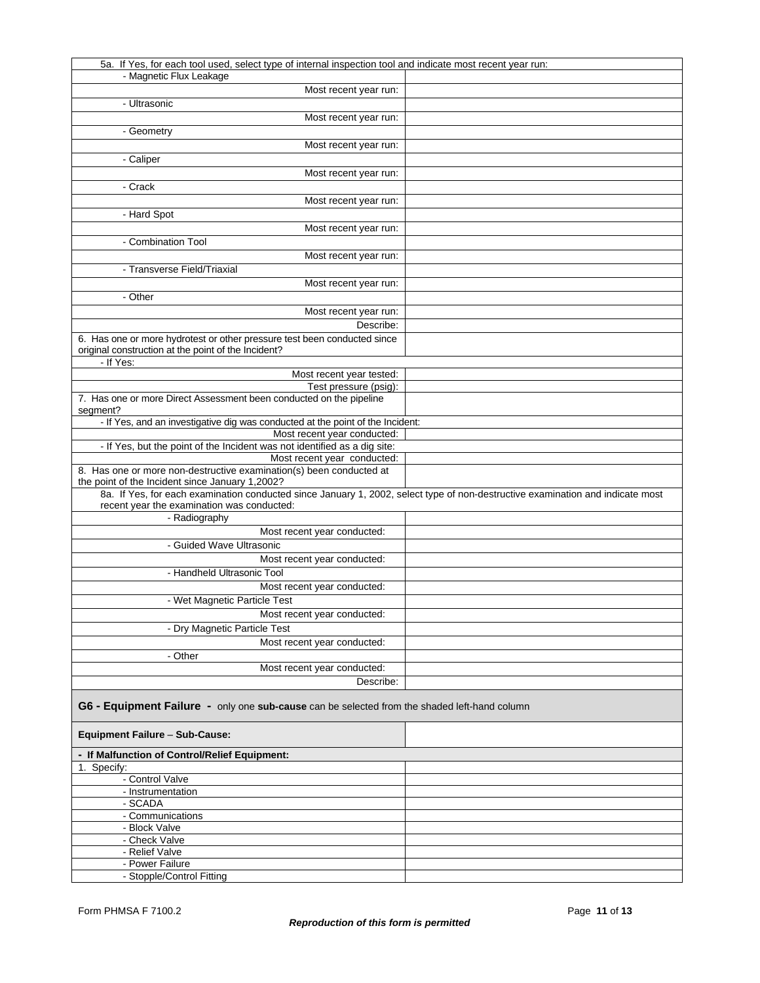| 5a. If Yes, for each tool used, select type of internal inspection tool and indicate most recent year run:                                                                        |  |
|-----------------------------------------------------------------------------------------------------------------------------------------------------------------------------------|--|
| - Magnetic Flux Leakage                                                                                                                                                           |  |
| Most recent year run:                                                                                                                                                             |  |
| - Ultrasonic                                                                                                                                                                      |  |
|                                                                                                                                                                                   |  |
| Most recent year run:                                                                                                                                                             |  |
| - Geometry                                                                                                                                                                        |  |
| Most recent year run:                                                                                                                                                             |  |
| - Caliper                                                                                                                                                                         |  |
| Most recent year run:                                                                                                                                                             |  |
| - Crack                                                                                                                                                                           |  |
|                                                                                                                                                                                   |  |
| Most recent year run:                                                                                                                                                             |  |
| - Hard Spot                                                                                                                                                                       |  |
| Most recent year run:                                                                                                                                                             |  |
| - Combination Tool                                                                                                                                                                |  |
| Most recent year run:                                                                                                                                                             |  |
| - Transverse Field/Triaxial                                                                                                                                                       |  |
|                                                                                                                                                                                   |  |
| Most recent year run:                                                                                                                                                             |  |
| - Other                                                                                                                                                                           |  |
| Most recent year run:                                                                                                                                                             |  |
| Describe:                                                                                                                                                                         |  |
| 6. Has one or more hydrotest or other pressure test been conducted since                                                                                                          |  |
| original construction at the point of the Incident?                                                                                                                               |  |
| - If Yes:                                                                                                                                                                         |  |
| Most recent year tested:                                                                                                                                                          |  |
| Test pressure (psig):                                                                                                                                                             |  |
| 7. Has one or more Direct Assessment been conducted on the pipeline                                                                                                               |  |
| segment?                                                                                                                                                                          |  |
| - If Yes, and an investigative dig was conducted at the point of the Incident:                                                                                                    |  |
| Most recent year conducted:                                                                                                                                                       |  |
|                                                                                                                                                                                   |  |
| - If Yes, but the point of the Incident was not identified as a dig site:                                                                                                         |  |
| Most recent year conducted:<br>8. Has one or more non-destructive examination(s) been conducted at                                                                                |  |
|                                                                                                                                                                                   |  |
| the point of the Incident since January 1,2002?<br>8a. If Yes, for each examination conducted since January 1, 2002, select type of non-destructive examination and indicate most |  |
|                                                                                                                                                                                   |  |
| recent year the examination was conducted:                                                                                                                                        |  |
| - Radiography                                                                                                                                                                     |  |
| Most recent year conducted:                                                                                                                                                       |  |
| - Guided Wave Ultrasonic                                                                                                                                                          |  |
| Most recent year conducted:                                                                                                                                                       |  |
| - Handheld Ultrasonic Tool                                                                                                                                                        |  |
| Most recent year conducted:                                                                                                                                                       |  |
| - Wet Magnetic Particle Test                                                                                                                                                      |  |
|                                                                                                                                                                                   |  |
| Most recent year conducted:                                                                                                                                                       |  |
| - Dry Magnetic Particle Test                                                                                                                                                      |  |
| Most recent year conducted:                                                                                                                                                       |  |
| - Other                                                                                                                                                                           |  |
| Most recent year conducted:                                                                                                                                                       |  |
| Describe:                                                                                                                                                                         |  |
|                                                                                                                                                                                   |  |
| G6 - Equipment Failure - only one sub-cause can be selected from the shaded left-hand column                                                                                      |  |
| <b>Equipment Failure - Sub-Cause:</b>                                                                                                                                             |  |
|                                                                                                                                                                                   |  |
| - If Malfunction of Control/Relief Equipment:                                                                                                                                     |  |
| 1. Specify:                                                                                                                                                                       |  |
| - Control Valve                                                                                                                                                                   |  |
| - Instrumentation                                                                                                                                                                 |  |
| - SCADA                                                                                                                                                                           |  |
| - Communications                                                                                                                                                                  |  |
| - Block Valve                                                                                                                                                                     |  |
|                                                                                                                                                                                   |  |
| - Check Valve                                                                                                                                                                     |  |
| - Relief Valve                                                                                                                                                                    |  |
| - Power Failure<br>- Stopple/Control Fitting                                                                                                                                      |  |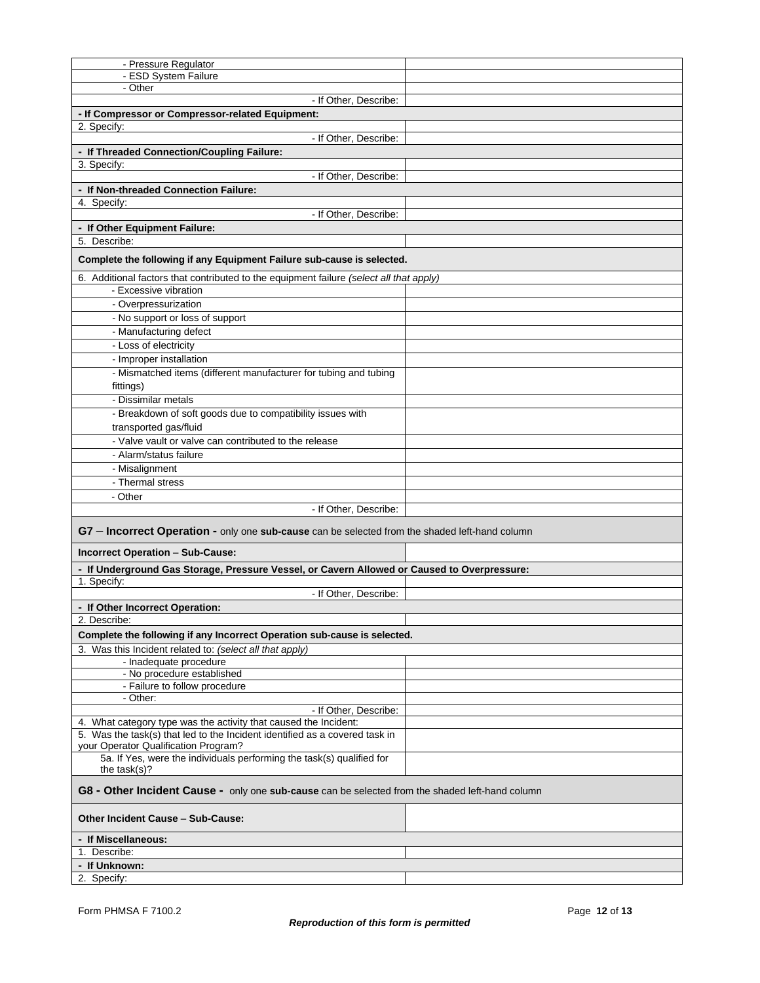| - Pressure Regulator                                                                            |  |  |
|-------------------------------------------------------------------------------------------------|--|--|
| - ESD System Failure                                                                            |  |  |
| - Other                                                                                         |  |  |
| - If Other, Describe:                                                                           |  |  |
| - If Compressor or Compressor-related Equipment:                                                |  |  |
| 2. Specify:                                                                                     |  |  |
| - If Other, Describe:                                                                           |  |  |
| - If Threaded Connection/Coupling Failure:                                                      |  |  |
| 3. Specify:                                                                                     |  |  |
| - If Other, Describe:                                                                           |  |  |
| - If Non-threaded Connection Failure:                                                           |  |  |
| 4. Specify:<br>- If Other, Describe:                                                            |  |  |
| - If Other Equipment Failure:                                                                   |  |  |
| 5. Describe:                                                                                    |  |  |
|                                                                                                 |  |  |
| Complete the following if any Equipment Failure sub-cause is selected.                          |  |  |
| 6. Additional factors that contributed to the equipment failure (select all that apply)         |  |  |
| - Excessive vibration                                                                           |  |  |
| - Overpressurization                                                                            |  |  |
| - No support or loss of support                                                                 |  |  |
| - Manufacturing defect                                                                          |  |  |
| - Loss of electricity                                                                           |  |  |
| - Improper installation                                                                         |  |  |
| - Mismatched items (different manufacturer for tubing and tubing                                |  |  |
| fittings)                                                                                       |  |  |
| - Dissimilar metals                                                                             |  |  |
| - Breakdown of soft goods due to compatibility issues with                                      |  |  |
| transported gas/fluid                                                                           |  |  |
| - Valve vault or valve can contributed to the release                                           |  |  |
| - Alarm/status failure                                                                          |  |  |
| - Misalignment                                                                                  |  |  |
| - Thermal stress                                                                                |  |  |
| - Other                                                                                         |  |  |
| - If Other, Describe:                                                                           |  |  |
|                                                                                                 |  |  |
| G7 - Incorrect Operation - only one sub-cause can be selected from the shaded left-hand column  |  |  |
|                                                                                                 |  |  |
| Incorrect Operation - Sub-Cause:                                                                |  |  |
| - If Underground Gas Storage, Pressure Vessel, or Cavern Allowed or Caused to Overpressure:     |  |  |
| 1. Specify:<br>- If Other, Describe:                                                            |  |  |
|                                                                                                 |  |  |
| - If Other Incorrect Operation:<br>2. Describe:                                                 |  |  |
|                                                                                                 |  |  |
| Complete the following if any Incorrect Operation sub-cause is selected.                        |  |  |
| 3. Was this Incident related to: (select all that apply)                                        |  |  |
| - Inadequate procedure<br>- No procedure established                                            |  |  |
| - Failure to follow procedure                                                                   |  |  |
| - Other:                                                                                        |  |  |
| - If Other, Describe:                                                                           |  |  |
| 4. What category type was the activity that caused the Incident:                                |  |  |
| 5. Was the task(s) that led to the Incident identified as a covered task in                     |  |  |
| your Operator Qualification Program?                                                            |  |  |
| 5a. If Yes, were the individuals performing the task(s) qualified for                           |  |  |
| the $task(s)$ ?                                                                                 |  |  |
| G8 - Other Incident Cause - only one sub-cause can be selected from the shaded left-hand column |  |  |
| <b>Other Incident Cause - Sub-Cause:</b>                                                        |  |  |
| - If Miscellaneous:                                                                             |  |  |
| 1. Describe:                                                                                    |  |  |
| - If Unknown:                                                                                   |  |  |
| 2. Specify:                                                                                     |  |  |